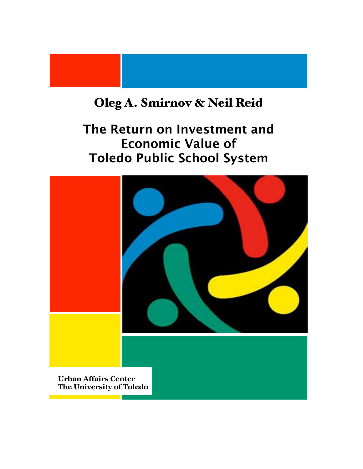## Oleg A. Smirnov & Neil Reid

## The Return on Investment and Economic Value of Toledo Public School System

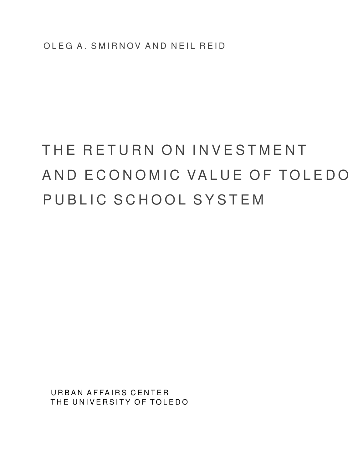# THE RETURN ON INVESTMENT AND ECONOMIC VALUE OF TOLEDO PUBLIC SCHOOL SYSTEM

URBAN AFFAIRS CENTER THE UNIVERSITY OF TOLEDO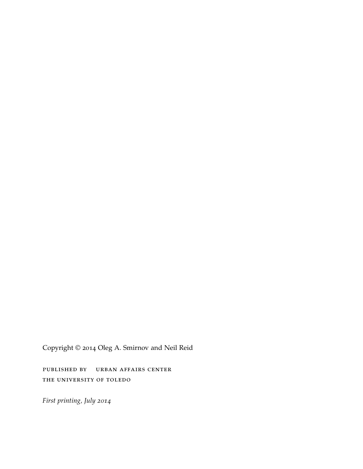Copyright © 2014 Oleg A. Smirnov and Neil Reid

published by urban affairs center the university of toledo

*First printing, July 2014*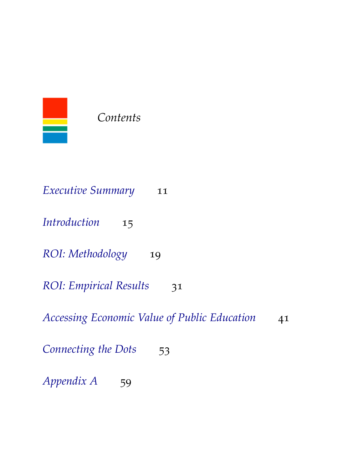

*Contents*

| <i>Executive Summary</i><br>11                     |
|----------------------------------------------------|
| Introduction<br>15                                 |
| ROI: Methodology<br>19                             |
| <b>ROI: Empirical Results</b><br>31                |
| Accessing Economic Value of Public Education<br>41 |
| Connecting the Dots<br>53                          |
| <i>Appendix A</i><br>59                            |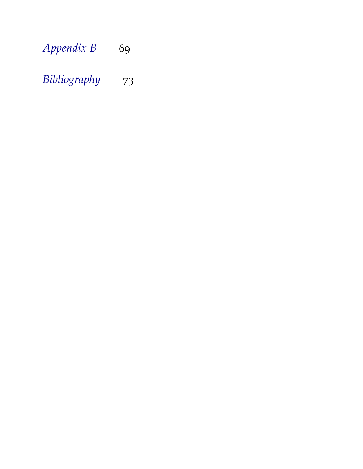| Appendix B | 69 |
|------------|----|
|            |    |

## *[Bibliography](#page-72-0)* 73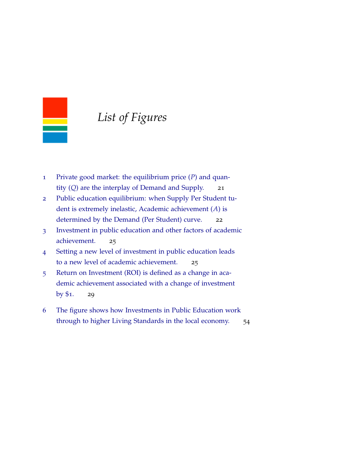

### *List of Figures*

- 1 [Private good market: the equilibrium price \(](#page-20-0)*P*) and quantity (*Q*[\) are the interplay of Demand and Supply.](#page-20-0) 21
- 2 [Public education equilibrium: when Supply Per Student](#page-20-0) tu[dent is extremely inelastic, Academic achievement \(](#page-20-0)*A*) is [determined by the Demand \(Per Student\) curve.](#page-20-0) 22
- 3 [Investment in public education and other factors of acade](#page-23-0)mic [achievement.](#page-23-0) 25
- 4 [Setting a new level of investment in public education lea](#page-24-0)ds [to a new level of academic achievement.](#page-24-0) 25
- 5 [Return on Investment \(ROI\) is defined as a change in aca](#page-26-0)[demic achievement associated with a change of investme](#page-26-0)nt by  $$1.$  29
- 6 [The figure shows how Investments in Public Education w](#page-52-0)ork [through to higher Living Standards in the local economy.](#page-52-0) 54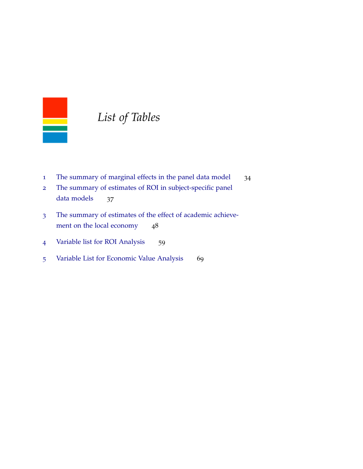

### *List of Tables*

- [The summary of marginal effects in the panel data model](#page-31-0) 34
- [The summary of estimates of ROI in subject-specific pane](#page-35-0)l [data models](#page-35-0) 37
- [The summary of estimates of the effect of academic achie](#page-47-0)ve[ment on the local economy](#page-47-0) 48
- [Variable list for ROI Analysis](#page-58-1) 59
- [Variable List for Economic Value Analysis](#page-68-1) 69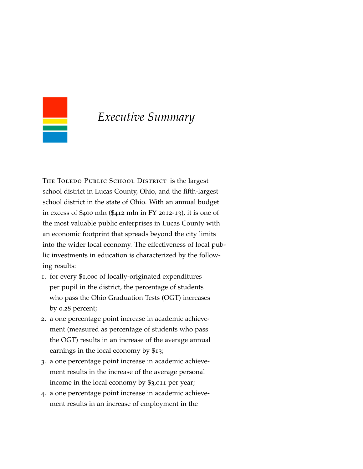<span id="page-10-0"></span>

### *Executive Summary*

THE TOLEDO PUBLIC SCHOOL DISTRICT is the largest school district in Lucas County, Ohio, and the fifth-largest school district in the state of Ohio. With an annual budget in excess of \$400 mln (\$412 mln in FY 2012-13), it is one of the most valuable public enterprises in Lucas County with an economic footprint that spreads beyond the city limits into the wider local economy. The effectiveness of local public investments in education is characterized by the following results:

- 1. for every \$1,000 of locally-originated expenditures per pupil in the district, the percentage of students who pass the Ohio Graduation Tests (OGT) increases by 0.28 percent;
- 2. a one percentage point increase in academic achievement (measured as percentage of students who pass the OGT) results in an increase of the average annual earnings in the local economy by \$13;
- 3. a one percentage point increase in academic achievement results in the increase of the average personal income in the local economy by \$3,011 per year;
- 4. a one percentage point increase in academic achievement results in an increase of employment in the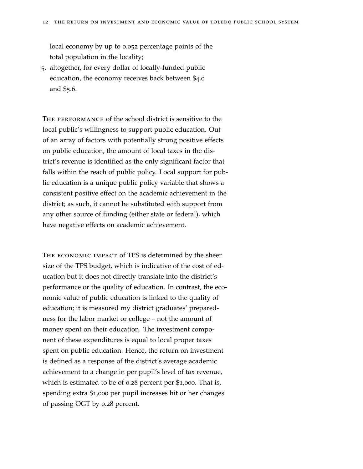local economy by up to 0.052 percentage points of the total population in the locality;

5. altogether, for every dollar of locally-funded public education, the economy receives back between \$4.0 and \$5.6.

THE PERFORMANCE of the school district is sensitive to the local public's willingness to support public education. Out of an array of factors with potentially strong positive effects on public education, the amount of local taxes in the district's revenue is identified as the only significant factor that falls within the reach of public policy. Local support for public education is a unique public policy variable that shows a consistent positive effect on the academic achievement in the district; as such, it cannot be substituted with support from any other source of funding (either state or federal), which have negative effects on academic achievement.

The economic impact of TPS is determined by the sheer size of the TPS budget, which is indicative of the cost of education but it does not directly translate into the district's performance or the quality of education. In contrast, the economic value of public education is linked to the quality of education; it is measured my district graduates' preparedness for the labor market or college – not the amount of money spent on their education. The investment component of these expenditures is equal to local proper taxes spent on public education. Hence, the return on investment is defined as a response of the district's average academic achievement to a change in per pupil's level of tax revenue, which is estimated to be of 0.28 percent per \$1,000. That is, spending extra \$1,000 per pupil increases hit or her changes of passing OGT by 0.28 percent.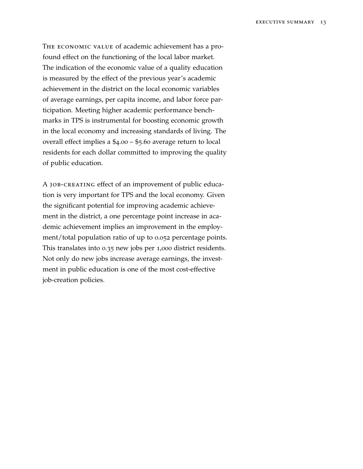The economic value of academic achievement has a profound effect on the functioning of the local labor market. The indication of the economic value of a quality education is measured by the effect of the previous year's academic achievement in the district on the local economic variables of average earnings, per capita income, and labor force participation. Meeting higher academic performance benchmarks in TPS is instrumental for boosting economic growth in the local economy and increasing standards of living. The overall effect implies a \$4.00 – \$5.60 average return to local residents for each dollar committed to improving the quality of public education.

A job-creating effect of an improvement of public education is very important for TPS and the local economy. Given the significant potential for improving academic achievement in the district, a one percentage point increase in academic achievement implies an improvement in the employment/total population ratio of up to 0.052 percentage points. This translates into 0.35 new jobs per 1,000 district residents. Not only do new jobs increase average earnings, the investment in public education is one of the most cost-effective job-creation policies.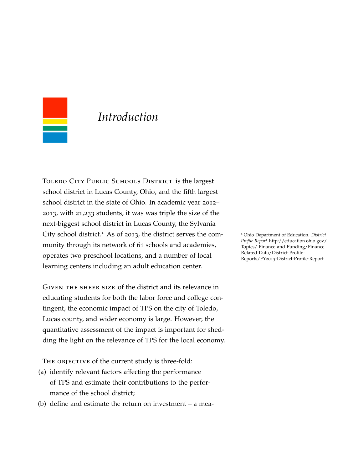<span id="page-14-0"></span>

### *Introduction*

TOLEDO CITY PUBLIC SCHOOLS DISTRICT is the largest school district in Lucas County, Ohio, and the fifth largest school district in the state of Ohio. In academic year 2012– 2013, with 21,233 students, it was was triple the size of the next-biggest school district in Lucas County, the Sylvania City school district.<sup>1</sup> As of 2013, the district serves the com-<br><sup>1</sup> Ohio Department of Education. *District* munity through its network of 61 schools and academies, operates two preschool locations, and a number of local learning centers including an adult education center.

Given the sheer size of the district and its relevance in educating students for both the labor force and college contingent, the economic impact of TPS on the city of Toledo, Lucas county, and wider economy is large. However, the quantitative assessment of the impact is important for shedding the light on the relevance of TPS for the local economy.

THE OBJECTIVE of the current study is three-fold:

- (a) identify relevant factors affecting the performance of TPS and estimate their contributions to the performance of the school district;
- (b) define and estimate the return on investment a mea-

*Profile Report* http://education.ohio.gov/ Topics/ Finance-and-Funding/Finance-Related-Data/District-Profile-Reports/FY2013-District-Profile-Report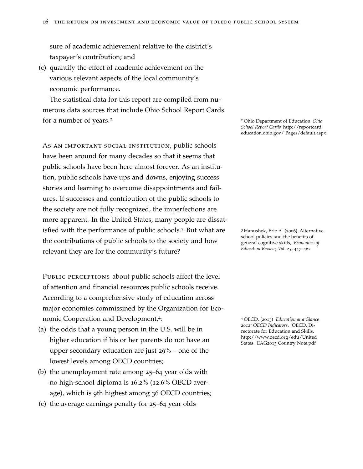sure of academic achievement relative to the district's taxpayer's contribution; and

(c) quantify the effect of academic achievement on the various relevant aspects of the local community's economic performance.

The statistical data for this report are compiled from numerous data sources that include Ohio School Report Cards for a number of years.<sup>2</sup> <sup>2</sup> Ohio Department of Education *Ohio*

As an important social institution, public schools have been around for many decades so that it seems that public schools have been here almost forever. As an institution, public schools have ups and downs, enjoying success stories and learning to overcome disappointments and failures. If successes and contribution of the public schools to the society are not fully recognized, the imperfections are more apparent. In the United States, many people are dissatisfied with the performance of public schools.<sup>3</sup> But what are <sup>3</sup> Hanushek, Eric A. (2006) Alternative the contributions of public schools to the society and how relevant they are for the community's future?

PUBLIC PERCEPTIONS about public schools affect the level of attention and financial resources public schools receive. According to a comprehensive study of education across major economies commissined by the Organization for Economic Cooperation and Development,<sup>4</sup>:

- (a) the odds that a young person in the U.S. will be in higher education if his or her parents do not have an upper secondary education are just 29% – one of the lowest levels among OECD countries;
- (b) the unemployment rate among 25–64 year olds with no high-school diploma is 16.2% (12.6% OECD average), which is 9th highest among 36 OECD countries;
- (c) the average earnings penalty for 25–64 year olds

*School Report Cards* http://reportcard. education.ohio.gov/ Pages/default.aspx

school policies and the benefits of general cognitive skills, *Economics of Education Review, Vol. 25,* 447–462

<sup>4</sup> OECD. (2013) *Education at a Glance 2012: OECD Indicators,* OECD, Directorate for Education and Skills. http://www.oecd.org/edu/United States \_EAG2013 Country Note.pdf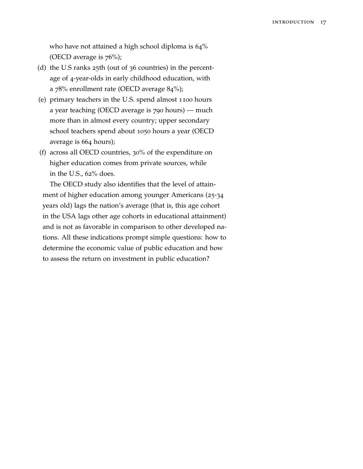who have not attained a high school diploma is  $64\%$ (OECD average is  $76\%$ );

- (d) the U.S ranks 25th (out of 36 countries) in the percentage of 4-year-olds in early childhood education, with a 78% enrollment rate (OECD average 84%);
- (e) primary teachers in the U.S. spend almost 1100 hours a year teaching (OECD average is 790 hours) — much more than in almost every country; upper secondary school teachers spend about 1050 hours a year (OECD average is 664 hours);
- (f) across all OECD countries, 30% of the expenditure on higher education comes from private sources, while in the U.S., 62% does.

The OECD study also identifies that the level of attainment of higher education among younger Americans (25-34 years old) lags the nation's average (that is, this age cohort in the USA lags other age cohorts in educational attainment) and is not as favorable in comparison to other developed nations. All these indications prompt simple questions: how to determine the economic value of public education and how to assess the return on investment in public education?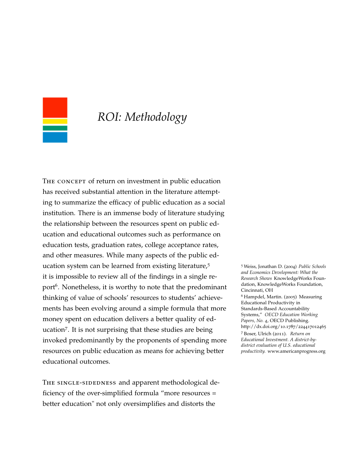<span id="page-18-0"></span>

### *ROI: Methodology*

THE CONCEPT of return on investment in public education has received substantial attention in the literature attempting to summarize the efficacy of public education as a social institution. There is an immense body of literature studying the relationship between the resources spent on public education and educational outcomes such as performance on education tests, graduation rates, college acceptance rates, and other measures. While many aspects of the public education system can be learned from existing literature,<sup>5</sup> 5 Weiss, Jonathan D. (2004) *Public Schools* it is impossible to review all of the findings in a single report<sup>6</sup>. Nonetheless, it is worthy to note that the predominant thinking of value of schools' resources to students' achievements has been evolving around a simple formula that more money spent on education delivers a better quality of education<sup>7</sup>. It is not surprising that these studies are being http://dx.doi.org/10.1787/22441<br><sup>7</sup> Boser, Ulrich (2011). *Return on* invoked predominantly by the proponents of spending more resources on public education as means for achieving better educational outcomes.

THE SINGLE-SIDEDNESS and apparent methodological deficiency of the over-simplified formula "more resources = better education" not only oversimplifies and distorts the

*and Economics Development: What the Research Shows* KnowledgeWorks Foundation, KnowledgeWorks Foundation, Cincinnati, OH <sup>6</sup> Hampdel, Martin. (2005) Measuring Educational Productivity in Standards-Based Accountability Systems," *OECD Education Working Papers, No. 4*, OECD Publishing. http://dx.doi.org/10.1787/224417012465 *Educational Investment. A district-bydistrict evaluation of U.S. educational productivity.* www.americanprogress.org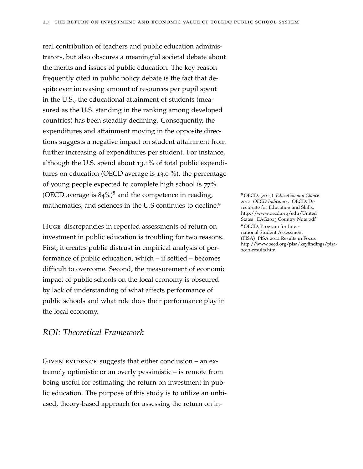real contribution of teachers and public education administrators, but also obscures a meaningful societal debate about the merits and issues of public education. The key reason frequently cited in public policy debate is the fact that despite ever increasing amount of resources per pupil spent in the U.S., the educational attainment of students (measured as the U.S. standing in the ranking among developed countries) has been steadily declining. Consequently, the expenditures and attainment moving in the opposite directions suggests a negative impact on student attainment from further increasing of expenditures per student. For instance, although the U.S. spend about 13.1% of total public expenditures on education (OECD average is 13.0 %), the percentage of young people expected to complete high school is 77% (OECD average is  $84\%)^8$  and the competence in reading,  $8$  OECD. (2013) *Education at a Glance* mathematics, and sciences in the U.S continues to decline.<sup>9</sup>

Huge discrepancies in reported assessments of return on investment in public education is troubling for two reasons. First, it creates public distrust in empirical analysis of performance of public education, which – if settled – becomes difficult to overcome. Second, the measurement of economic impact of public schools on the local economy is obscured by lack of understanding of what affects performance of public schools and what role does their performance play in the local economy.

#### *ROI: Theoretical Framework*

GIVEN EVIDENCE suggests that either conclusion – an extremely optimistic or an overly pessimistic – is remote from being useful for estimating the return on investment in public education. The purpose of this study is to utilize an unbiased, theory-based approach for assessing the return on in*2012: OECD Indicators,* OECD, Directorate for Education and Skills. http://www.oecd.org/edu/United States \_EAG2013 Country Note.pdf <sup>9</sup> OECD: Program for International Student Assessment (PISA) PISA 2012 Results in Focus http://www.oecd.org/pisa/keyfindings/pisa-2012-results.htm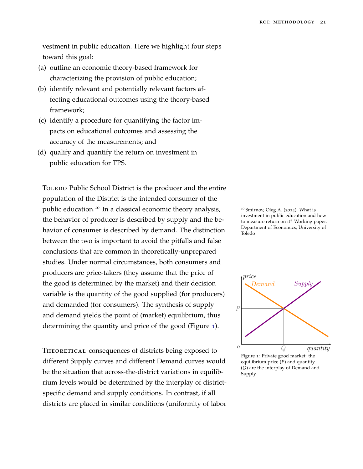vestment in public education. Here we highlight four steps toward this goal:

- (a) outline an economic theory-based framework for characterizing the provision of public education;
- (b) identify relevant and potentially relevant factors affecting educational outcomes using the theory-based framework;
- (c) identify a procedure for quantifying the factor impacts on educational outcomes and assessing the accuracy of the measurements; and
- <span id="page-20-0"></span>(d) qualify and quantify the return on investment in public education for TPS.

TOLEDO Public School District is the producer and the entire population of the District is the intended consumer of the public education.<sup>10</sup> In a classical economic theory analysis, <sup>10</sup> Smirnov, Oleg A. (2014) What is the behavior of producer is described by supply and the behavior of consumer is described by demand. The distinction between the two is important to avoid the pitfalls and false conclusions that are common in theoretically-unprepared studies. Under normal circumstances, both consumers and producers are price-takers (they assume that the price of the good is determined by the market) and their decision variable is the quantity of the good supplied (for producers) and demanded (for consumers). The synthesis of supply and demand yields the point of (market) equilibrium, thus determining the quantity and price of the good (Figure [1](#page-20-0)).

THEORETICAL consequences of districts being exposed to different Supply curves and different Demand curves would be the situation that across-the-district variations in equilibrium levels would be determined by the interplay of districtspecific demand and supply conditions. In contrast, if all districts are placed in similar conditions (uniformity of labor investment in public education and how to measure return on it? Working paper. Department of Economics, University of Toledo



Figure 1: Private good market: the equilibrium price (*P*) and quantity (*Q*) are the interplay of Demand and Supply.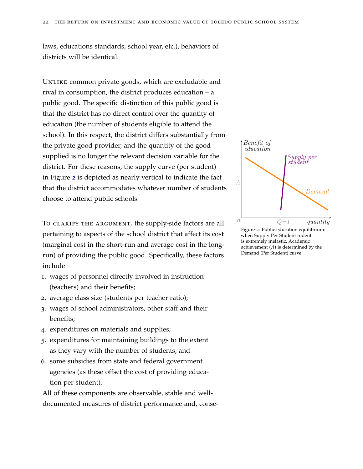laws, educations standards, school year, etc.), behaviors of districts will be identical.

UNLIKE common private goods, which are excludable and rival in consumption, the district produces education – a public good. The specific distinction of this public good is that the district has no direct control over the quantity of education (the number of students eligible to attend the school). In this respect, the district differs substantially from the private good provider, and the quantity of the good supplied is no longer the relevant decision variable for the district. For these reasons, the supply curve (per student) in Figure [2](#page-20-0) is depicted as nearly vertical to indicate the fact that the district accommodates whatever number of students choose to attend public schools.

To clarify the argument, the supply-side factors are all pertaining to aspects of the school district that affect its cost (marginal cost in the short-run and average cost in the longrun) of providing the public good. Specifically, these factors include

- 1. wages of personnel directly involved in instruction (teachers) and their benefits;
- 2. average class size (students per teacher ratio);
- 3. wages of school administrators, other staff and their benefits;
- 4. expenditures on materials and supplies;
- 5. expenditures for maintaining buildings to the extent as they vary with the number of students; and
- 6. some subsidies from state and federal government agencies (as these offset the cost of providing education per student).

All of these components are observable, stable and welldocumented measures of district performance and, conse-



is extremely inelastic, Academic achievement (*A*) is determined by the Demand (Per Student) curve.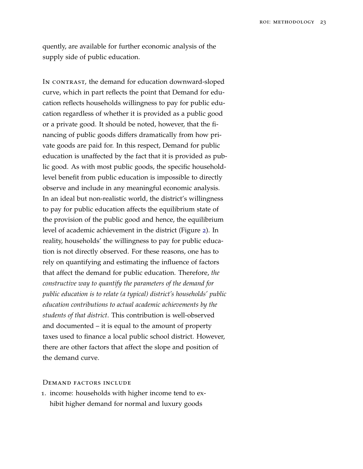quently, are available for further economic analysis of the supply side of public education.

IN CONTRAST, the demand for education downward-sloped curve, which in part reflects the point that Demand for education reflects households willingness to pay for public education regardless of whether it is provided as a public good or a private good. It should be noted, however, that the financing of public goods differs dramatically from how private goods are paid for. In this respect, Demand for public education is unaffected by the fact that it is provided as public good. As with most public goods, the specific householdlevel benefit from public education is impossible to directly observe and include in any meaningful economic analysis. In an ideal but non-realistic world, the district's willingness to pay for public education affects the equilibrium state of the provision of the public good and hence, the equilibrium level of academic achievement in the district (Figure [2](#page-20-0)). In reality, households' the willingness to pay for public education is not directly observed. For these reasons, one has to rely on quantifying and estimating the influence of factors that affect the demand for public education. Therefore, *the constructive way to quantify the parameters of the demand for public education is to relate (a typical) district's households' public education contributions to actual academic achievements by the students of that district*. This contribution is well-observed and documented – it is equal to the amount of property taxes used to finance a local public school district. However, there are other factors that affect the slope and position of the demand curve.

#### Demand factors include

1. income: households with higher income tend to exhibit higher demand for normal and luxury goods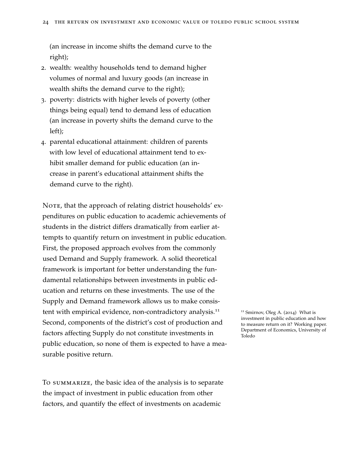(an increase in income shifts the demand curve to the right);

- 2. wealth: wealthy households tend to demand higher volumes of normal and luxury goods (an increase in wealth shifts the demand curve to the right);
- 3. poverty: districts with higher levels of poverty (other things being equal) tend to demand less of education (an increase in poverty shifts the demand curve to the left);
- <span id="page-23-0"></span>4. parental educational attainment: children of parents with low level of educational attainment tend to exhibit smaller demand for public education (an increase in parent's educational attainment shifts the demand curve to the right).

NOTE, that the approach of relating district households' expenditures on public education to academic achievements of students in the district differs dramatically from earlier attempts to quantify return on investment in public education. First, the proposed approach evolves from the commonly used Demand and Supply framework. A solid theoretical framework is important for better understanding the fundamental relationships between investments in public education and returns on these investments. The use of the Supply and Demand framework allows us to make consistent with empirical evidence, non-contradictory analysis.<sup>11</sup> 11 Smirnov, Oleg A. (2014) What is Second, components of the district's cost of production and factors affecting Supply do not constitute investments in public education, so none of them is expected to have a measurable positive return.

To summarize, the basic idea of the analysis is to separate the impact of investment in public education from other factors, and quantify the effect of investments on academic

investment in public education and how to measure return on it? Working paper. Department of Economics, University of Toledo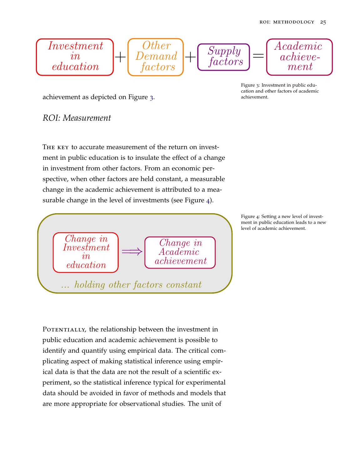$$
\begin{array}{c}\n\hline\nInvestment \\
in\n\end{array}\n\left\downarrow \begin{bmatrix}\nOther \\
Demand \\
factors\n\end{bmatrix}\n+\n\begin{bmatrix}\nSupply \\
factors\n\end{bmatrix}\n=\n\begin{bmatrix}\nAcademic \\
achieve - \\ment\n\end{bmatrix}
$$

achievement as depicted on Figure [3](#page-23-0). The settlement achievement.

Figure 3: Investment in public education and other factors of academic

#### <span id="page-24-0"></span>*ROI: Measurement*

The key to accurate measurement of the return on investment in public education is to insulate the effect of a change in investment from other factors. From an economic perspective, when other factors are held constant, a measurable change in the academic achievement is attributed to a measurable change in the level of investments (see Figure [4](#page-24-0)).



POTENTIALLY, the relationship between the investment in public education and academic achievement is possible to identify and quantify using empirical data. The critical complicating aspect of making statistical inference using empirical data is that the data are not the result of a scientific experiment, so the statistical inference typical for experimental data should be avoided in favor of methods and models that are more appropriate for observational studies. The unit of

Figure 4: Setting a new level of investment in public education leads to a new level of academic achievement.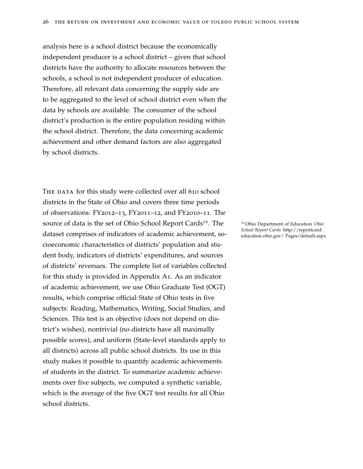analysis here is a school district because the economically independent producer is a school district – given that school districts have the authority to allocate resources between the schools, a school is not independent producer of education. Therefore, all relevant data concerning the supply side are to be aggregated to the level of school district even when the data by schools are available. The consumer of the school district's production is the entire population residing within the school district. Therefore, the data concerning academic achievement and other demand factors are also aggregated by school districts.

THE DATA for this study were collected over all 610 school districts in the State of Ohio and covers three time periods of observations: FY2012–13, FY2011–12, and FY2010–11. The source of data is the set of Ohio School Report Cards<sup>12</sup>. The <sup>12</sup> Ohio Department of Education *Ohio*<br>School Report Cards http://reportcard. dataset comprises of indicators of academic achievement, so-<br>education.ohio.gov/ Pages/default.aspx cioeconomic characteristics of districts' population and student body, indicators of districts' expenditures, and sources of districts' revenues. The complete list of variables collected for this study is provided in Appendix A1. As an indicator of academic achievement, we use Ohio Graduate Test (OGT) results, which comprise official State of Ohio tests in five subjects: Reading, Mathematics, Writing, Social Studies, and Sciences. This test is an objective (does not depend on district's wishes), nontrivial (no districts have all maximally possible scores), and uniform (State-level standards apply to all districts) across all public school districts. Its use in this study makes it possible to quantify academic achievements of students in the district. To summarize academic achievements over five subjects, we computed a synthetic variable, which is the average of the five OGT test results for all Ohio school districts.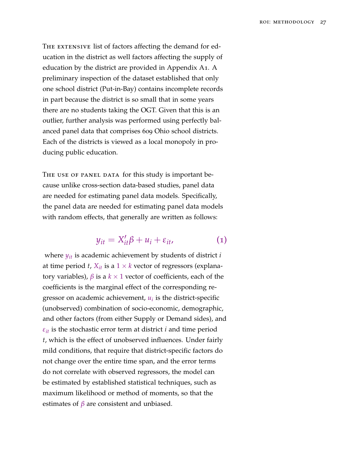THE EXTENSIVE list of factors affecting the demand for education in the district as well factors affecting the supply of education by the district are provided in Appendix A1. A preliminary inspection of the dataset established that only one school district (Put-in-Bay) contains incomplete records in part because the district is so small that in some years there are no students taking the OGT. Given that this is an outlier, further analysis was performed using perfectly balanced panel data that comprises 609 Ohio school districts. Each of the districts is viewed as a local monopoly in producing public education.

THE USE OF PANEL DATA for this study is important because unlike cross-section data-based studies, panel data are needed for estimating panel data models. Specifically, the panel data are needed for estimating panel data models with random effects, that generally are written as follows:

<span id="page-26-0"></span>
$$
y_{it} = X_{it}'\beta + u_i + \varepsilon_{it}, \qquad (1)
$$

where *yit* is academic achievement by students of district *i* at time period *t*,  $X_{it}$  is a  $1 \times k$  vector of regressors (explanatory variables),  $β$  is a  $k \times 1$  vector of coefficients, each of the coefficients is the marginal effect of the corresponding regressor on academic achievement, *u<sup>i</sup>* is the district-specific (unobserved) combination of socio-economic, demographic, and other factors (from either Supply or Demand sides), and  $\varepsilon_{it}$  is the stochastic error term at district *i* and time period *t*, which is the effect of unobserved influences. Under fairly mild conditions, that require that district-specific factors do not change over the entire time span, and the error terms do not correlate with observed regressors, the model can be estimated by established statistical techniques, such as maximum likelihood or method of moments, so that the estimates of *β* are consistent and unbiased.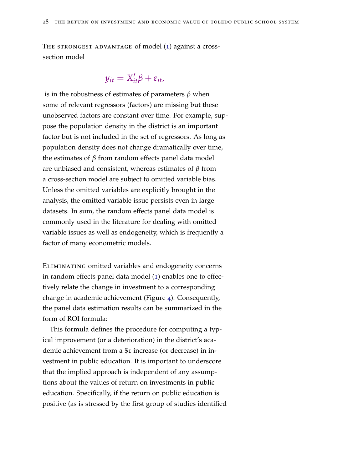THE STRONGEST ADVANTAGE of model ([1](#page-26-0)) against a crosssection model

#### $y_{it} = X'_{it} \beta + \varepsilon_{it}$

is in the robustness of estimates of parameters *β* when some of relevant regressors (factors) are missing but these unobserved factors are constant over time. For example, suppose the population density in the district is an important factor but is not included in the set of regressors. As long as population density does not change dramatically over time, the estimates of *β* from random effects panel data model are unbiased and consistent, whereas estimates of *β* from a cross-section model are subject to omitted variable bias. Unless the omitted variables are explicitly brought in the analysis, the omitted variable issue persists even in large datasets. In sum, the random effects panel data model is commonly used in the literature for dealing with omitted variable issues as well as endogeneity, which is frequently a factor of many econometric models.

Eliminating omitted variables and endogeneity concerns in random effects panel data model ([1](#page-26-0)) enables one to effectively relate the change in investment to a corresponding change in academic achievement (Figure [4](#page-24-0)). Consequently, the panel data estimation results can be summarized in the form of ROI formula:

This formula defines the procedure for computing a typical improvement (or a deterioration) in the district's academic achievement from a \$1 increase (or decrease) in investment in public education. It is important to underscore that the implied approach is independent of any assumptions about the values of return on investments in public education. Specifically, if the return on public education is positive (as is stressed by the first group of studies identified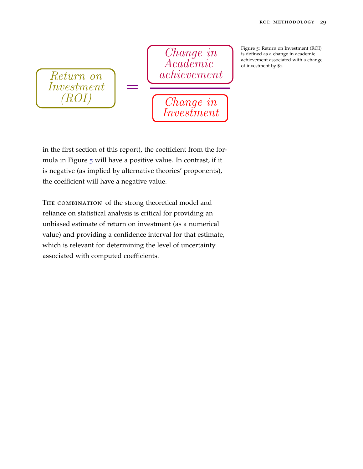Return on Investment (ROI)

Change in Academic achievement

Change in  $\it Inves\check{t}ment$  Figure 5: Return on Investment (ROI) is defined as a change in academic achievement associated with a change of investment by \$1.

in the first section of this report), the coefficient from the for-mula in Figure [5](#page-26-0) will have a positive value. In contrast, if it is negative (as implied by alternative theories' proponents), the coefficient will have a negative value.

=

The combination of the strong theoretical model and reliance on statistical analysis is critical for providing an unbiased estimate of return on investment (as a numerical value) and providing a confidence interval for that estimate, which is relevant for determining the level of uncertainty associated with computed coefficients.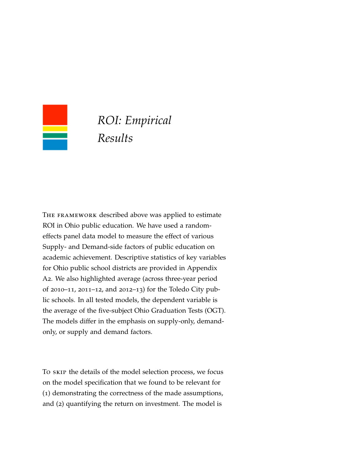<span id="page-30-0"></span>

## *ROI: Empirical Results*

The framework described above was applied to estimate ROI in Ohio public education. We have used a randomeffects panel data model to measure the effect of various Supply- and Demand-side factors of public education on academic achievement. Descriptive statistics of key variables for Ohio public school districts are provided in Appendix A2. We also highlighted average (across three-year period of 2010–11, 2011–12, and 2012–13) for the Toledo City public schools. In all tested models, the dependent variable is the average of the five-subject Ohio Graduation Tests (OGT). The models differ in the emphasis on supply-only, demandonly, or supply and demand factors.

To skip the details of the model selection process, we focus on the model specification that we found to be relevant for (1) demonstrating the correctness of the made assumptions, and (2) quantifying the return on investment. The model is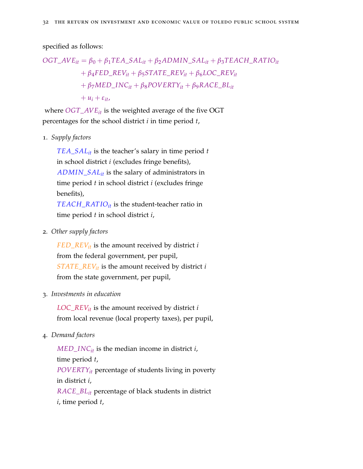specified as follows:

$$
OGT\_AVE_{it} = \beta_0 + \beta_1 TEA\_SAL_{it} + \beta_2 ADMIN\_SAL_{it} + \beta_3 TEACH\_RATIO_{it}
$$
  
+  $\beta_4 FED\_REV_{it} + \beta_5 STATE\_REV_{it} + \beta_6 LOC\_REV_{it}$   
+  $\beta_7 MED\_INC_{it} + \beta_8 POVERTY_{it} + \beta_9 RACE\_BL_{it}$   
+  $u_i + \varepsilon_{it}$ ,

where *OGT*\_*AVEit* is the weighted average of the five OGT percentages for the school district *i* in time period *t*,

1. *Supply factors*

*TEA*\_*SALit* is the teacher's salary in time period *t* in school district *i* (excludes fringe benefits), *ADMIN*\_*SALit* is the salary of administrators in time period *t* in school district *i* (excludes fringe benefits),

*TEACH*\_*RAT IOit* is the student-teacher ratio in time period *t* in school district *i*,

2. *Other supply factors*

*FED*\_*REVit* is the amount received by district *i* from the federal government, per pupil, *STATE*\_*REVit* is the amount received by district *i* from the state government, per pupil,

3. *Investments in education*

 $LOC\_REV_{it}$  is the amount received by district *i* from local revenue (local property taxes), per pupil,

<span id="page-31-0"></span>4. *Demand factors*

 $MED$ <sub>*INC*<sup>*it*</sup> is the median income in district *i*,</sub> time period *t*, *POVERTYit* percentage of students living in poverty in district *i*, *RACE*\_*BLit* percentage of black students in district

*i*, time period *t*,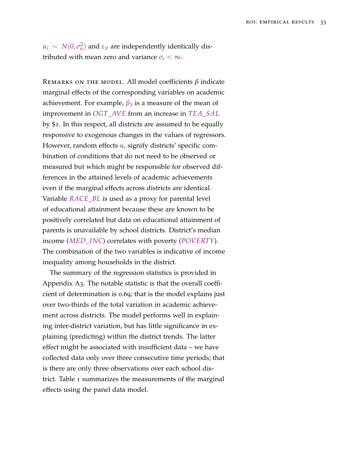*u*<sub>*i*</sub> ∼ *N*(0,  $σ$ <sup>2</sup><sub>*u*</sub></sub>) and  $ε$ <sub>*it*</sub> are independently identically distributed with mean zero and variance  $\sigma_{\varepsilon} < \infty$ .

Remarks on the model. All model coefficients *β* indicate marginal effects of the corresponding variables on academic achievement. For example,  $\beta_1$  is a measure of the mean of improvement in *OGT*\_*AVE* from an increase in *TEA*\_*SAL* by \$1. In this respect, all districts are assumed to be equally responsive to exogenous changes in the values of regressors. However, random effects *u<sup>i</sup>* signify districts' specific combination of conditions that do not need to be observed or measured but which might be responsible for observed differences in the attained levels of academic achievements even if the marginal effects across districts are identical. Variable *RACE*\_*BL* is used as a proxy for parental level of educational attainment because these are known to be positively correlated but data on educational attainment of parents is unavailable by school districts. District's median income (*MED*\_*INC*) correlates with poverty (*POVERTY*). The combination of the two variables is indicative of income inequality among households in the district.

The summary of the regression statistics is provided in Appendix A3. The notable statistic is that the overall coefficient of determination is 0.69; that is the model explains just over two-thirds of the total variation in academic achievement across districts. The model performs well in explaining inter-district variation, but has little significance in explaining (predicting) within the district trends. The latter effect might be associated with insufficient data – we have collected data only over three consecutive time periods; that is there are only three observations over each school district. Table [1](#page-31-0) summarizes the measurements of the marginal effects using the panel data model.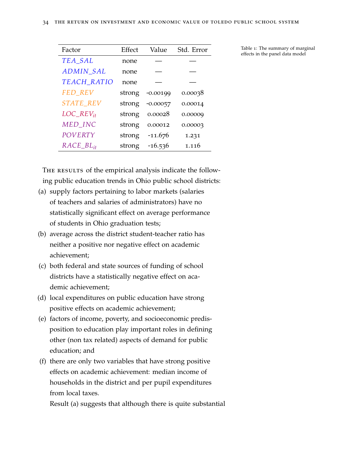| Factor                                 | Effect | Value      | Std. Error |
|----------------------------------------|--------|------------|------------|
| TEA_SAL                                | none   |            |            |
| <b>ADMIN_SAL</b>                       | none   |            |            |
| TEACH_RATIO                            | none   |            |            |
| FED_REV                                | strong | $-0.00199$ | 0.00038    |
| STATE_REV                              | strong | $-0.00057$ | 0.00014    |
| $LOC\_REV_{it}$                        | strong | 0.00028    | 0.00009    |
| MED_INC                                | strong | 0.00012    | 0.00003    |
| POVERTY                                | strong | $-11.676$  | 1.231      |
| $RACE$ <sub><math>BL_{it}</math></sub> | strong | $-16.536$  | 1.116      |

Table 1: The summary of marginal effects in the panel data model

THE RESULTS of the empirical analysis indicate the following public education trends in Ohio public school districts:

- (a) supply factors pertaining to labor markets (salaries of teachers and salaries of administrators) have no statistically significant effect on average performance of students in Ohio graduation tests;
- (b) average across the district student-teacher ratio has neither a positive nor negative effect on academic achievement;
- (c) both federal and state sources of funding of school districts have a statistically negative effect on academic achievement;
- (d) local expenditures on public education have strong positive effects on academic achievement;
- (e) factors of income, poverty, and socioeconomic predisposition to education play important roles in defining other (non tax related) aspects of demand for public education; and
- (f) there are only two variables that have strong positive effects on academic achievement: median income of households in the district and per pupil expenditures from local taxes.

Result (a) suggests that although there is quite substantial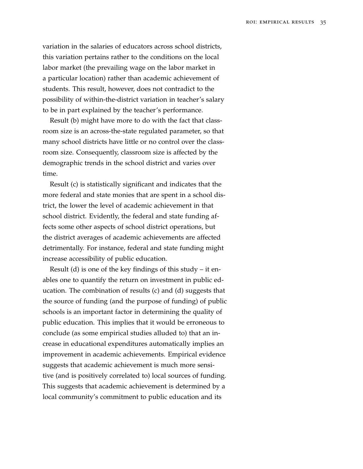variation in the salaries of educators across school districts, this variation pertains rather to the conditions on the local labor market (the prevailing wage on the labor market in a particular location) rather than academic achievement of students. This result, however, does not contradict to the possibility of within-the-district variation in teacher's salary to be in part explained by the teacher's performance.

Result (b) might have more to do with the fact that classroom size is an across-the-state regulated parameter, so that many school districts have little or no control over the classroom size. Consequently, classroom size is affected by the demographic trends in the school district and varies over time.

Result (c) is statistically significant and indicates that the more federal and state monies that are spent in a school district, the lower the level of academic achievement in that school district. Evidently, the federal and state funding affects some other aspects of school district operations, but the district averages of academic achievements are affected detrimentally. For instance, federal and state funding might increase accessibility of public education.

Result (d) is one of the key findings of this study – it enables one to quantify the return on investment in public education. The combination of results (c) and (d) suggests that the source of funding (and the purpose of funding) of public schools is an important factor in determining the quality of public education. This implies that it would be erroneous to conclude (as some empirical studies alluded to) that an increase in educational expenditures automatically implies an improvement in academic achievements. Empirical evidence suggests that academic achievement is much more sensitive (and is positively correlated to) local sources of funding. This suggests that academic achievement is determined by a local community's commitment to public education and its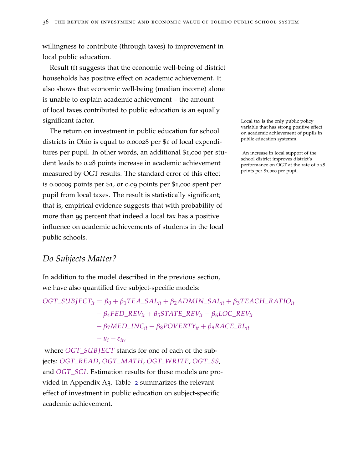willingness to contribute (through taxes) to improvement in local public education.

Result (f) suggests that the economic well-being of district households has positive effect on academic achievement. It also shows that economic well-being (median income) alone is unable to explain academic achievement – the amount of local taxes contributed to public education is an equally significant factor. The state of the state of the state of the state of the state of the state of the state of the state of the state of the state of the state of the state of the state of the state of the state of the sta

The return on investment in public education for school districts in Ohio is equal to 0.00028 per \$1 of local expenditures per pupil. In other words, an additional \$1,000 per stu-<br>An increase in local support of the dent leads to 0.28 points increase in academic achievement measured by OGT results. The standard error of this effect is 0.00009 points per \$1, or 0.09 points per \$1,000 spent per pupil from local taxes. The result is statistically significant; that is, empirical evidence suggests that with probability of more than 99 percent that indeed a local tax has a positive influence on academic achievements of students in the local public schools.

variable that has strong positive effect on academic achievement of pupils in public education systemm.

school district improves district's performance on OGT at the rate of 0.28 points per \$1,000 per pupil.

#### <span id="page-35-0"></span>*Do Subjects Matter?*

In addition to the model described in the previous section, we have also quantified five subject-specific models:

 $OGT\_SUB \text{JECT}_{it} = \beta_0 + \beta_1 TEA\_SAL_{it} + \beta_2 ADMIN\_SAL_{it} + \beta_3 TEACH\_RATIO_{it}$  $+ \beta_4 FED\_REV_{it} + \beta_5 STATE\_REV_{it} + \beta_6 LOC\_REV_{it}$  $+ \beta_7 MED$ *\_INC*<sub>it</sub> +  $\beta_8 POVERTY_{it} + \beta_9 RACE$ *\_BL*<sub>it</sub>  $+ u_i + \varepsilon_{it}$ 

where *OGT*\_*SUB JECT* stands for one of each of the subjects: *OGT*\_*READ*, *OGT*\_*MATH*, *OGT*\_*WRITE*, *OGT*\_*SS*, and *OGT*\_*SC I*. Estimation results for these models are provided in Appendix A3. Table [2](#page-35-0) summarizes the relevant effect of investment in public education on subject-specific academic achievement.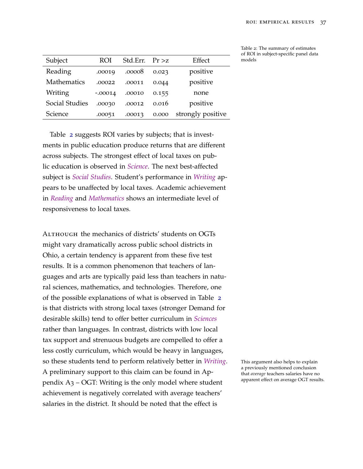| Subject            | ROI       | Std.Err. | Pr > z | Effect            |
|--------------------|-----------|----------|--------|-------------------|
| Reading            | .00019    | .00008   | 0.023  | positive          |
| <b>Mathematics</b> | .00022    | .00011   | 0.044  | positive          |
| Writing            | $-.00014$ | .00010   | 0.155  | none              |
| Social Studies     | .00030    | .00012   | 0.016  | positive          |
| Science            | .00051    | .00013   | 0.000  | strongly positive |

Table [2](#page-35-0) suggests ROI varies by subjects; that is investments in public education produce returns that are different across subjects. The strongest effect of local taxes on public education is observed in *Science*. The next best-affected subject is *Social Studies*. Student's performance in *Writing* appears to be unaffected by local taxes. Academic achievement in *Reading* and *Mathematics* shows an intermediate level of responsiveness to local taxes.

ALTHOUGH the mechanics of districts' students on OGTs might vary dramatically across public school districts in Ohio, a certain tendency is apparent from these five test results. It is a common phenomenon that teachers of languages and arts are typically paid less than teachers in natural sciences, mathematics, and technologies. Therefore, one of the possible explanations of what is observed in Table [2](#page-35-0) is that districts with strong local taxes (stronger Demand for desirable skills) tend to offer better curriculum in *Sciences* rather than languages. In contrast, districts with low local tax support and strenuous budgets are compelled to offer a less costly curriculum, which would be heavy in languages, so these students tend to perform relatively better in *Writing*. This argument also helps to explain A preliminary support to this claim can be found in Appendix A3 – OGT: Writing is the only model where student achievement is negatively correlated with average teachers' salaries in the district. It should be noted that the effect is

Table 2: The summary of estimates of ROI in subject-specific panel data models

a previously mentioned conclusion that *average* teachers salaries have no apparent effect on average OGT results.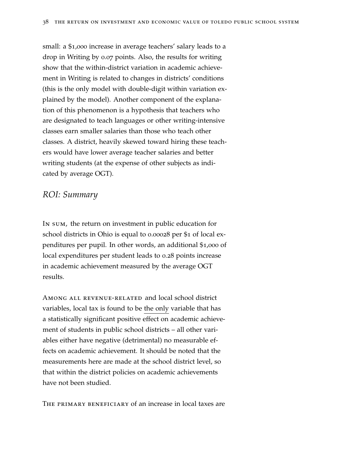small: a \$1,000 increase in average teachers' salary leads to a drop in Writing by 0.07 points. Also, the results for writing show that the within-district variation in academic achievement in Writing is related to changes in districts' conditions (this is the only model with double-digit within variation explained by the model). Another component of the explanation of this phenomenon is a hypothesis that teachers who are designated to teach languages or other writing-intensive classes earn smaller salaries than those who teach other classes. A district, heavily skewed toward hiring these teachers would have lower average teacher salaries and better writing students (at the expense of other subjects as indicated by average OGT).

### *ROI: Summary*

In sum, the return on investment in public education for school districts in Ohio is equal to 0.00028 per \$1 of local expenditures per pupil. In other words, an additional \$1,000 of local expenditures per student leads to 0.28 points increase in academic achievement measured by the average OGT results.

Among all revenue-related and local school district variables, local tax is found to be the only variable that has a statistically significant positive effect on academic achievement of students in public school districts – all other variables either have negative (detrimental) no measurable effects on academic achievement. It should be noted that the measurements here are made at the school district level, so that within the district policies on academic achievements have not been studied.

The primary beneficiary of an increase in local taxes are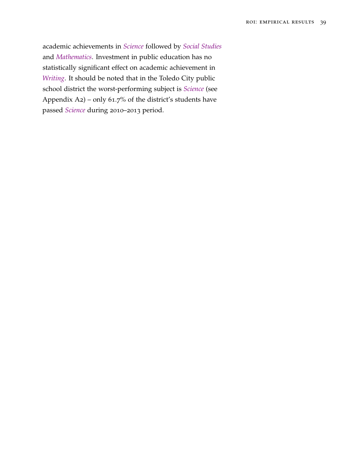academic achievements in *Science* followed by *Social Studies* and *Mathematics*. Investment in public education has no statistically significant effect on academic achievement in *Writing*. It should be noted that in the Toledo City public school district the worst-performing subject is *Science* (see Appendix A2) – only 61.7% of the district's students have passed *Science* during 2010–2013 period.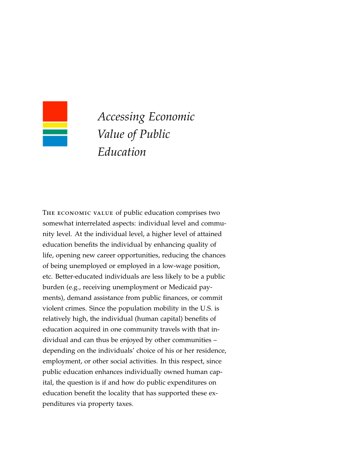

# *Accessing Economic Value of Public Education*

The economic value of public education comprises two somewhat interrelated aspects: individual level and community level. At the individual level, a higher level of attained education benefits the individual by enhancing quality of life, opening new career opportunities, reducing the chances of being unemployed or employed in a low-wage position, etc. Better-educated individuals are less likely to be a public burden (e.g., receiving unemployment or Medicaid payments), demand assistance from public finances, or commit violent crimes. Since the population mobility in the U.S. is relatively high, the individual (human capital) benefits of education acquired in one community travels with that individual and can thus be enjoyed by other communities – depending on the individuals' choice of his or her residence, employment, or other social activities. In this respect, since public education enhances individually owned human capital, the question is if and how do public expenditures on education benefit the locality that has supported these expenditures via property taxes.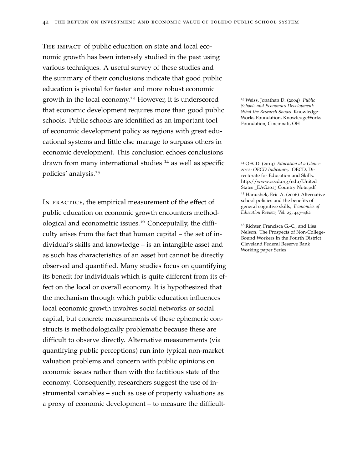THE IMPACT of public education on state and local economic growth has been intensely studied in the past using various techniques. A useful survey of these studies and the summary of their conclusions indicate that good public education is pivotal for faster and more robust economic growth in the local economy.<sup>13</sup> However, it is underscored <sup>13</sup> Weiss, Jonathan D. (2004) *Public* that economic development requires more than good public schools. Public schools are identified as an important tool of economic development policy as regions with great educational systems and little else manage to surpass others in economic development. This conclusion echoes conclusions drawn from many international studies <sup>14</sup> as well as specific <sup>14</sup> OECD. (2013) *Education at a Glance* policies' analysis.<sup>15</sup>

In practice, the empirical measurement of the effect of public education on economic growth encounters methodological and econometric issues.<sup>16</sup> Conceputally, the diffi-<br><sup>16</sup> Richter, Francisca G.-C., and Lisa culty arises from the fact that human capital – the set of individual's skills and knowledge – is an intangible asset and as such has characteristics of an asset but cannot be directly observed and quantified. Many studies focus on quantifying its benefit for individuals which is quite different from its effect on the local or overall economy. It is hypothesized that the mechanism through which public education influences local economic growth involves social networks or social capital, but concrete measurements of these ephemeric constructs is methodologically problematic because these are difficult to observe directly. Alternative measurements (via quantifying public perceptions) run into typical non-market valuation problems and concern with public opinions on economic issues rather than with the factitious state of the economy. Consequently, researchers suggest the use of instrumental variables – such as use of property valuations as a proxy of economic development – to measure the difficult-

*Schools and Economics Development: What the Research Shows* Knowledge-Works Foundation, KnowledgeWorks Foundation, Cincinnati, OH

*2012: OECD Indicators,* OECD, Directorate for Education and Skills. http://www.oecd.org/edu/United States \_EAG2013 Country Note.pdf

<sup>15</sup> Hanushek, Eric A. (2006) Alternative school policies and the benefits of general cognitive skills, *Economics of Education Review, Vol. 25,* 447–462

Nelson. The Prospects of Non-College-Bound Workers in the Fourth District Cleveland Federal Reserve Bank Working paper Series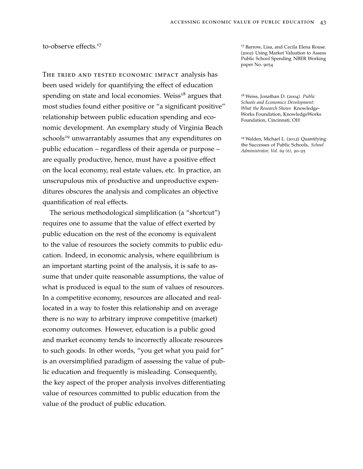THE TRIED AND TESTED ECONOMIC IMPACT analysis has been used widely for quantifying the effect of education spending on state and local economies. Weiss<sup>18</sup> argues that <sup>18</sup> Weiss, Jonathan D. (2004) *Public* most studies found either positive or "a significant positive" relationship between public education spending and economic development. An exemplary study of Virginia Beach schools<sup>19</sup> unwarrantably assumes that any expenditures on  $19$  Walden, Michael L. (2012) Quantifying the Successes of Public Schools, *School* public education – regardless of their agenda or purpose – *Administrator, Vol. <sup>69</sup> (6),* <sup>20</sup>–<sup>25</sup> are equally productive, hence, must have a positive effect on the local economy, real estate values, etc. In practice, an unscrupulous mix of productive and unproductive expenditures obscures the analysis and complicates an objective quantification of real effects.

The serious methodological simplification (a "shortcut") requires one to assume that the value of effect exerted by public education on the rest of the economy is equivalent to the value of resources the society commits to public education. Indeed, in economic analysis, where equilibrium is an important starting point of the analysis, it is safe to assume that under quite reasonable assumptions, the value of what is produced is equal to the sum of values of resources. In a competitive economy, resources are allocated and reallocated in a way to foster this relationship and on average there is no way to arbitrary improve competitive (market) economy outcomes. However, education is a public good and market economy tends to incorrectly allocate resources to such goods. In other words, "you get what you paid for" is an oversimplified paradigm of assessing the value of public education and frequently is misleading. Consequently, the key aspect of the proper analysis involves differentiating value of resources committed to public education from the value of the product of public education.

to-observe effects.<sup>17</sup> to-observe effects.<sup>17</sup> arrow, Lisa, and Cecila Elena Rouse. (2002) Using Market Valuation to Assess Public School Spending NBER Working paper No. 9054

> *Schools and Economics Development: What the Research Shows* Knowledge-Works Foundation, KnowledgeWorks Foundation, Cincinnati, OH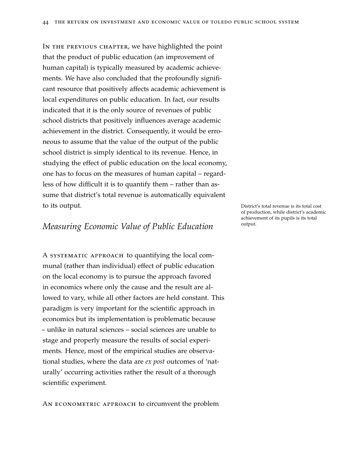IN THE PREVIOUS CHAPTER, we have highlighted the point that the product of public education (an improvement of human capital) is typically measured by academic achievements. We have also concluded that the profoundly significant resource that positively affects academic achievement is local expenditures on public education. In fact, our results indicated that it is the only source of revenues of public school districts that positively influences average academic achievement in the district. Consequently, it would be erroneous to assume that the value of the output of the public school district is simply identical to its revenue. Hence, in studying the effect of public education on the local economy, one has to focus on the measures of human capital – regardless of how difficult it is to quantify them – rather than assume that district's total revenue is automatically equivalent to its output. The intervenue is its total cost of the state of the state of the District's total revenue is its total cost

### *Measuring Economic Value of Public Education* <sup>output.</sup>

A systematic approach to quantifying the local communal (rather than individual) effect of public education on the local economy is to pursue the approach favored in economics where only the cause and the result are allowed to vary, while all other factors are held constant. This paradigm is very important for the scientific approach in economics but its implementation is problematic because – unlike in natural sciences – social sciences are unable to stage and properly measure the results of social experiments. Hence, most of the empirical studies are observational studies, where the data are *ex post* outcomes of 'naturally' occurring activities rather the result of a thorough scientific experiment.

AN ECONOMETRIC APPROACH to circumvent the problem

of production, while district's academic achievement of its pupils is its total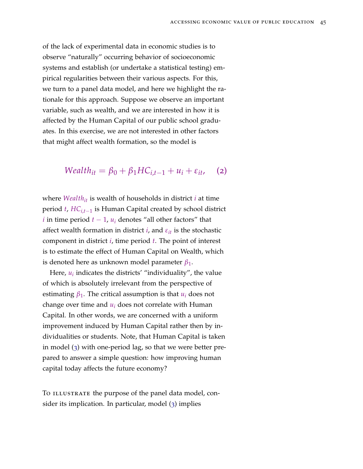of the lack of experimental data in economic studies is to observe "naturally" occurring behavior of socioeconomic systems and establish (or undertake a statistical testing) empirical regularities between their various aspects. For this, we turn to a panel data model, and here we highlight the rationale for this approach. Suppose we observe an important variable, such as wealth, and we are interested in how it is affected by the Human Capital of our public school graduates. In this exercise, we are not interested in other factors that might affect wealth formation, so the model is

$$
Wealth_{it} = \beta_0 + \beta_1 HC_{i,t-1} + u_i + \varepsilon_{it}, \quad (2)
$$

where *Wealthit* is wealth of households in district *i* at time period *t*, *HCi*,*t*−<sup>1</sup> is Human Capital created by school district *i* in time period  $t - 1$ ,  $u_i$  denotes "all other factors" that affect wealth formation in district  $i$ , and  $\varepsilon_{it}$  is the stochastic component in district *i*, time period *t*. The point of interest is to estimate the effect of Human Capital on Wealth, which is denoted here as unknown model parameter *β*1.

Here,  $u_i$  indicates the districts' "individuality", the value of which is absolutely irrelevant from the perspective of estimating  $\beta_1$ . The critical assumption is that  $u_i$  does not change over time and *u<sup>i</sup>* does not correlate with Human Capital. In other words, we are concerned with a uniform improvement induced by Human Capital rather then by individualities or students. Note, that Human Capital is taken in model ([3](#page-45-0)) with one-period lag, so that we were better prepared to answer a simple question: how improving human capital today affects the future economy?

To ILLUSTRATE the purpose of the panel data model, consider its implication. In particular, model ([3](#page-45-0)) implies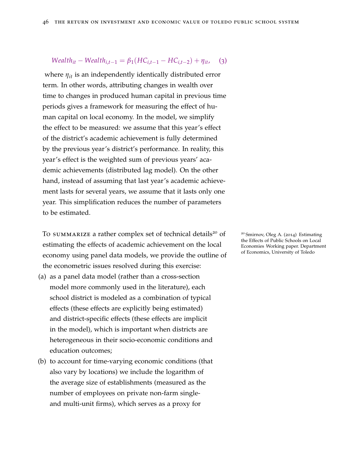#### <span id="page-45-0"></span>*Wealth*<sup>*it*</sup> − *Wealth*<sup>*i*</sup>,*t*−1 = *β*<sub>1</sub>(*HC*<sub>*i*,*t*−1</sub> − *HC*<sub>*i*,*t*−2) + *η*<sup>*it*</sup></sub>, (3)

where *ηit* is an independently identically distributed error term. In other words, attributing changes in wealth over time to changes in produced human capital in previous time periods gives a framework for measuring the effect of human capital on local economy. In the model, we simplify the effect to be measured: we assume that this year's effect of the district's academic achievement is fully determined by the previous year's district's performance. In reality, this year's effect is the weighted sum of previous years' academic achievements (distributed lag model). On the other hand, instead of assuming that last year's academic achievement lasts for several years, we assume that it lasts only one year. This simplification reduces the number of parameters to be estimated.

To summarize a rather complex set of technical details<sup>20</sup> of  $\qquad$  <sup>20</sup> Smirnov, Oleg A. (2014) Estimating estimating the effects of academic achievement on the local economy using panel data models, we provide the outline of the econometric issues resolved during this exercise:

- (a) as a panel data model (rather than a cross-section model more commonly used in the literature), each school district is modeled as a combination of typical effects (these effects are explicitly being estimated) and district-specific effects (these effects are implicit in the model), which is important when districts are heterogeneous in their socio-economic conditions and education outcomes;
- (b) to account for time-varying economic conditions (that also vary by locations) we include the logarithm of the average size of establishments (measured as the number of employees on private non-farm singleand multi-unit firms), which serves as a proxy for

the Effects of Public Schools on Local Economies Working paper. Department of Economics, University of Toledo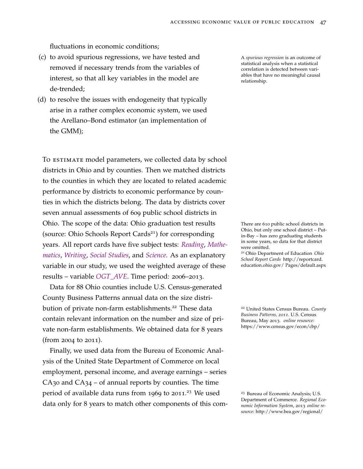fluctuations in economic conditions;

- (c) to avoid spurious regressions, we have tested and A *spurious regression* is an outcome of removed if necessary trends from the variables of interest, so that all key variables in the model are de-trended;
- (d) to resolve the issues with endogeneity that typically arise in a rather complex economic system, we used the Arellano–Bond estimator (an implementation of the GMM);

To ESTIMATE model parameters, we collected data by school districts in Ohio and by counties. Then we matched districts to the counties in which they are located to related academic performance by districts to economic performance by counties in which the districts belong. The data by districts cover seven annual assessments of 609 public school districts in Ohio. The scope of the data: Ohio graduation test results There are 610 public school districts in (source: Ohio Schools Report Cards<sup>21</sup>) for corresponding years. All report cards have five subject tests: *Reading*, *Mathematics*, *Writing*, *Social Studies*, and *Science*. As an explanatory variable in our study, we used the weighted average of these results – variable *OGT\_AVE*. Time period: 2006–2013.

Data for 88 Ohio counties include U.S. Census-generated County Business Patterns annual data on the size distribution of private non-farm establishments.<sup>22</sup> These data <sup>22</sup> United States Census Bureau. *County* contain relevant information on the number and size of private non-farm establishments. We obtained data for 8 years (from 2004 to 2011).

Finally, we used data from the Bureau of Economic Analysis of the United State Department of Commerce on local employment, personal income, and average earnings – series  $CA<sub>30</sub>$  and  $CA<sub>34</sub> - of$  annual reports by counties. The time period of available data runs from 1969 to 2011.<sup>23</sup> We used data only for 8 years to match other components of this comstatistical analysis when a statistical correlation is detected between variables that have no meaningful causal relationship.

Ohio, but only one school district – Putin-Bay – has zero graduating students in some years, so data for that district were omitted.

<sup>21</sup> Ohio Department of Education *Ohio School Report Cards* http://reportcard. education.ohio.gov/ Pages/default.aspx

*Business Patterns, 2011*. U.S. Census Bureau, May 2013. *online resource:* https://www.census.gov/econ/cbp/

<sup>23</sup> Bureau of Economic Analysis; U.S. Department of Commerce. *Regional Economic Information System*, 2013 *online resource:* http://www.bea.gov/regional/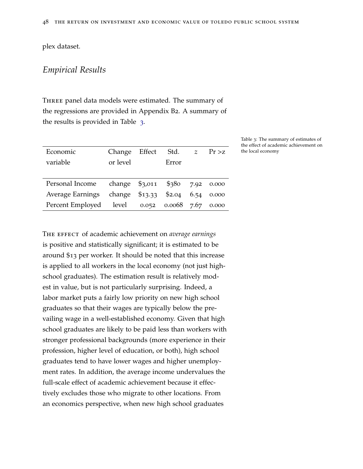plex dataset.

### <span id="page-47-0"></span>*Empirical Results*

Three panel data models were estimated. The summary of the regressions are provided in Appendix B2. A summary of the results is provided in Table [3](#page-47-0).

| Economic         | Change          | Effect  | Std.        | $\mathcal{Z}$ | Pr > z |
|------------------|-----------------|---------|-------------|---------------|--------|
| variable         | or level        |         | Error       |               |        |
|                  |                 |         |             |               |        |
| Personal Income  | change $$3,011$ |         | \$380       | 7.92          | 0.000  |
| Average Earnings | change          | \$13.33 | \$2.04      | 6.54          | 0.000  |
| Percent Employed | level           | 0.052   | 0.0068 7.67 |               | 0.000  |
|                  |                 |         |             |               |        |

Table 3: The summary of estimates of the effect of academic achievement on the local economy

The effect of academic achievement on *average earnings* is positive and statistically significant; it is estimated to be around \$13 per worker. It should be noted that this increase is applied to all workers in the local economy (not just highschool graduates). The estimation result is relatively modest in value, but is not particularly surprising. Indeed, a labor market puts a fairly low priority on new high school graduates so that their wages are typically below the prevailing wage in a well-established economy. Given that high school graduates are likely to be paid less than workers with stronger professional backgrounds (more experience in their profession, higher level of education, or both), high school graduates tend to have lower wages and higher unemployment rates. In addition, the average income undervalues the full-scale effect of academic achievement because it effectively excludes those who migrate to other locations. From an economics perspective, when new high school graduates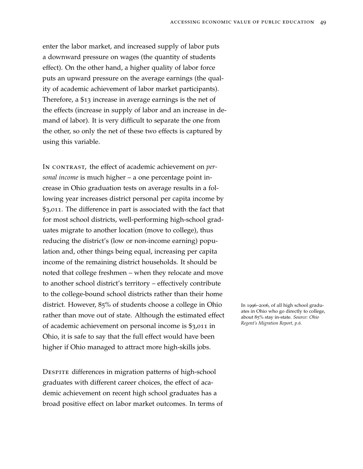enter the labor market, and increased supply of labor puts a downward pressure on wages (the quantity of students effect). On the other hand, a higher quality of labor force puts an upward pressure on the average earnings (the quality of academic achievement of labor market participants). Therefore, a \$13 increase in average earnings is the net of the effects (increase in supply of labor and an increase in demand of labor). It is very difficult to separate the one from the other, so only the net of these two effects is captured by using this variable.

In CONTRAST, the effect of academic achievement on *personal income* is much higher – a one percentage point increase in Ohio graduation tests on average results in a following year increases district personal per capita income by \$3,011. The difference in part is associated with the fact that for most school districts, well-performing high-school graduates migrate to another location (move to college), thus reducing the district's (low or non-income earning) population and, other things being equal, increasing per capita income of the remaining district households. It should be noted that college freshmen – when they relocate and move to another school district's territory – effectively contribute to the college-bound school districts rather than their home district. However, 85% of students choose a college in Ohio In 1996–2006, of all high school gradurather than move out of state. Although the estimated effect of academic achievement on personal income is \$3,011 in Ohio, it is safe to say that the full effect would have been higher if Ohio managed to attract more high-skills jobs.

DESPITE differences in migration patterns of high-school graduates with different career choices, the effect of academic achievement on recent high school graduates has a broad positive effect on labor market outcomes. In terms of ates in Ohio who go directly to college, about 85% stay in-state. *Source: Ohio Regent's Migration Report, p.6.*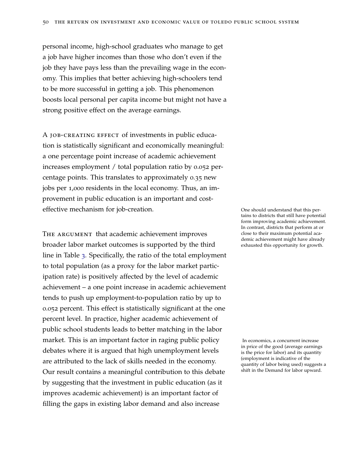personal income, high-school graduates who manage to get a job have higher incomes than those who don't even if the job they have pays less than the prevailing wage in the economy. This implies that better achieving high-schoolers tend to be more successful in getting a job. This phenomenon boosts local personal per capita income but might not have a strong positive effect on the average earnings.

A job-creating effect of investments in public education is statistically significant and economically meaningful: a one percentage point increase of academic achievement increases employment / total population ratio by 0.052 percentage points. This translates to approximately 0.35 new jobs per 1,000 residents in the local economy. Thus, an improvement in public education is an important and costeffective mechanism for job-creation. One should understand that this per-

THE ARGUMENT that academic achievement improves broader labor market outcomes is supported by the third line in Table [3](#page-47-0). Specifically, the ratio of the total employment to total population (as a proxy for the labor market participation rate) is positively affected by the level of academic achievement – a one point increase in academic achievement tends to push up employment-to-population ratio by up to 0.052 percent. This effect is statistically significant at the one percent level. In practice, higher academic achievement of public school students leads to better matching in the labor market. This is an important factor in raging public policy In economics, a concurrent increase debates where it is argued that high unemployment levels are attributed to the lack of skills needed in the economy. Our result contains a meaningful contribution to this debate by suggesting that the investment in public education (as it improves academic achievement) is an important factor of filling the gaps in existing labor demand and also increase

tains to districts that still have potential form improving academic achievement. In contrast, districts that perform at or close to their maximum potential academic achievement might have already exhausted this opportunity for growth.

in price of the good (average earnings is the price for labor) and its quantity (employment is indicative of the quantity of labor being used) suggests a shift in the Demand for labor upward.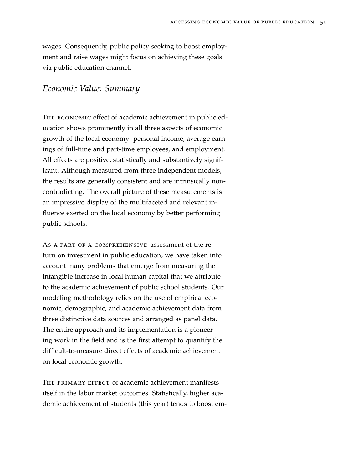wages. Consequently, public policy seeking to boost employment and raise wages might focus on achieving these goals via public education channel.

### *Economic Value: Summary*

THE ECONOMIC effect of academic achievement in public education shows prominently in all three aspects of economic growth of the local economy: personal income, average earnings of full-time and part-time employees, and employment. All effects are positive, statistically and substantively significant. Although measured from three independent models, the results are generally consistent and are intrinsically noncontradicting. The overall picture of these measurements is an impressive display of the multifaceted and relevant influence exerted on the local economy by better performing public schools.

As a part of a comprehensive assessment of the return on investment in public education, we have taken into account many problems that emerge from measuring the intangible increase in local human capital that we attribute to the academic achievement of public school students. Our modeling methodology relies on the use of empirical economic, demographic, and academic achievement data from three distinctive data sources and arranged as panel data. The entire approach and its implementation is a pioneering work in the field and is the first attempt to quantify the difficult-to-measure direct effects of academic achievement on local economic growth.

THE PRIMARY EFFECT of academic achievement manifests itself in the labor market outcomes. Statistically, higher academic achievement of students (this year) tends to boost em-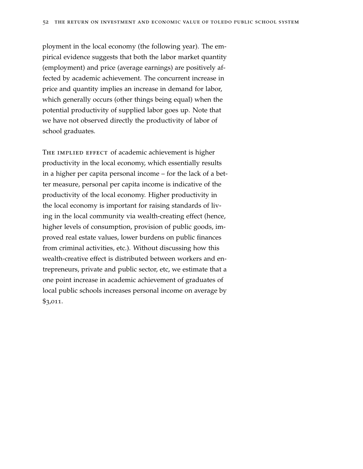ployment in the local economy (the following year). The empirical evidence suggests that both the labor market quantity (employment) and price (average earnings) are positively affected by academic achievement. The concurrent increase in price and quantity implies an increase in demand for labor, which generally occurs (other things being equal) when the potential productivity of supplied labor goes up. Note that we have not observed directly the productivity of labor of school graduates.

THE IMPLIED EFFECT of academic achievement is higher productivity in the local economy, which essentially results in a higher per capita personal income – for the lack of a better measure, personal per capita income is indicative of the productivity of the local economy. Higher productivity in the local economy is important for raising standards of living in the local community via wealth-creating effect (hence, higher levels of consumption, provision of public goods, improved real estate values, lower burdens on public finances from criminal activities, etc.). Without discussing how this wealth-creative effect is distributed between workers and entrepreneurs, private and public sector, etc, we estimate that a one point increase in academic achievement of graduates of local public schools increases personal income on average by \$3,011.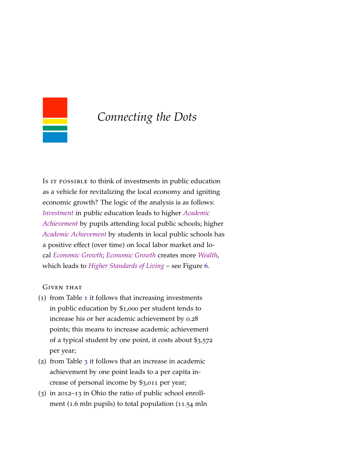<span id="page-52-0"></span>

## *Connecting the Dots*

Is IT POSSIBLE to think of investments in public education as a vehicle for revitalizing the local economy and igniting economic growth? The logic of the analysis is as follows: *Investment* in public education leads to higher *Academic Achievement* by pupils attending local public schools; higher *Academic Achievement* by students in local public schools has a positive effect (over time) on local labor market and local *Economic Growth*; *Economic Growth* creates more *Wealth*, which leads to *Higher Standards of Living* – see Figure [6](#page-52-0).

#### Given that

- (1) from Table [1](#page-31-0) it follows that increasing investments in public education by \$1,000 per student tends to increase his or her academic achievement by 0.28 points; this means to increase academic achievement of a typical student by one point, it costs about \$3,572 per year;
- (2) from Table [3](#page-47-0) it follows that an increase in academic achievement by one point leads to a per capita increase of personal income by \$3,011 per year;
- (3) in 2012–13 in Ohio the ratio of public school enrollment (1.6 mln pupils) to total population (11.54 mln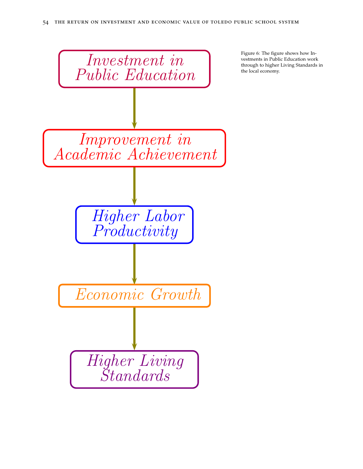

Figure 6: The figure shows how Investments in Public Education work through to higher Living Standards in the local economy.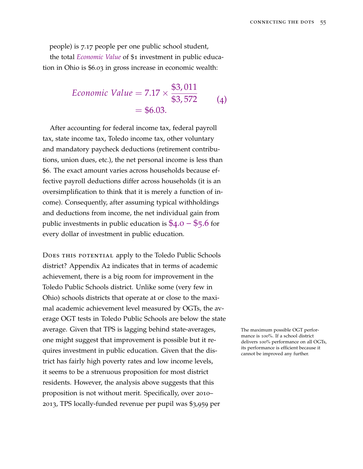people) is 7.17 people per one public school student,

the total *Economic Value* of \$1 investment in public education in Ohio is \$6.03 in gross increase in economic wealth:

Economic Value = 
$$
7.17 \times \frac{\$3,011}{\$3,572}
$$
 (4)  
= \$6.03.

After accounting for federal income tax, federal payroll tax, state income tax, Toledo income tax, other voluntary and mandatory paycheck deductions (retirement contributions, union dues, etc.), the net personal income is less than \$6. The exact amount varies across households because effective payroll deductions differ across households (it is an oversimplification to think that it is merely a function of income). Consequently, after assuming typical withholdings and deductions from income, the net individual gain from public investments in public education is  $$4.0 - $5.6$  for every dollar of investment in public education.

DOES THIS POTENTIAL apply to the Toledo Public Schools district? Appendix A2 indicates that in terms of academic achievement, there is a big room for improvement in the Toledo Public Schools district. Unlike some (very few in Ohio) schools districts that operate at or close to the maximal academic achievement level measured by OGTs, the average OGT tests in Toledo Public Schools are below the state average. Given that TPS is lagging behind state-averages, The maximum possible OGT perforone might suggest that improvement is possible but it requires investment in public education. Given that the district has fairly high poverty rates and low income levels, it seems to be a strenuous proposition for most district residents. However, the analysis above suggests that this proposition is not without merit. Specifically, over 2010– 2013, TPS locally-funded revenue per pupil was \$3,959 per

mance is 100%. If a school district delivers 100% performance on all OGTs, its performance is efficient because it cannot be improved any further.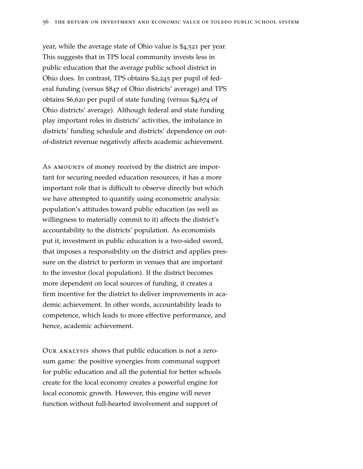year, while the average state of Ohio value is \$4,521 per year. This suggests that in TPS local community invests less in public education that the average public school district in Ohio does. In contrast, TPS obtains \$2,245 per pupil of federal funding (versus \$847 of Ohio districts' average) and TPS obtains \$6,620 per pupil of state funding (versus \$4,674 of Ohio districts' average). Although federal and state funding play important roles in districts' activities, the imbalance in districts' funding schedule and districts' dependence on outof-district revenue negatively affects academic achievement.

As AMOUNTS of money received by the district are important for securing needed education resources, it has a more important role that is difficult to observe directly but which we have attempted to quantify using econometric analysis: population's attitudes toward public education (as well as willingness to materially commit to it) affects the district's accountability to the districts' population. As economists put it, investment in public education is a two-sided sword, that imposes a responsibility on the district and applies pressure on the district to perform in venues that are important to the investor (local population). If the district becomes more dependent on local sources of funding, it creates a firm incentive for the district to deliver improvements in academic achievement. In other words, accountability leads to competence, which leads to more effective performance, and hence, academic achievement.

Our analysis shows that public education is not a zerosum game: the positive synergies from communal support for public education and all the potential for better schools create for the local economy creates a powerful engine for local economic growth. However, this engine will never function without full-hearted involvement and support of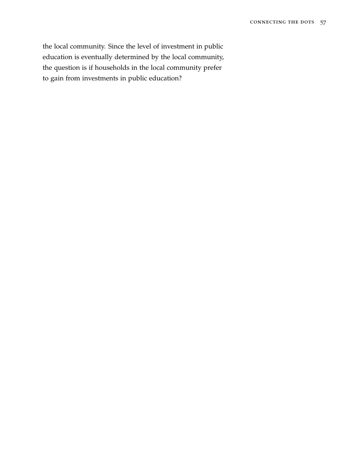the local community. Since the level of investment in public education is eventually determined by the local community, the question is if households in the local community prefer to gain from investments in public education?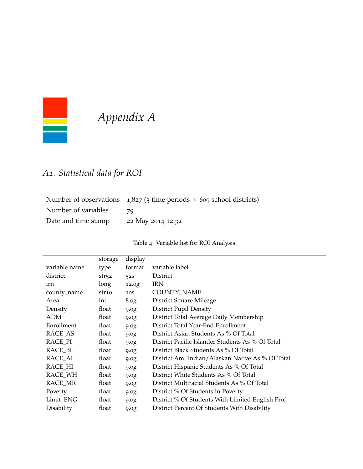

# *Appendix A*

# *A1. Statistical data for ROI*

|                     | Number of observations $1,827$ (3 time periods $\times$ 609 school districts) |
|---------------------|-------------------------------------------------------------------------------|
| Number of variables | - 70                                                                          |
| Date and time stamp | 22 May 2014 12:32                                                             |

### Table 4: Variable list for ROI Analysis

|               | storage | display          |                                                   |
|---------------|---------|------------------|---------------------------------------------------|
| variable name | type    | format           | variable label                                    |
| district      | str52   | 52S              | <b>District</b>                                   |
| irn           | long    | 12.0g            | <b>IRN</b>                                        |
| county_name   | str10   | 10S              | COUNTY_NAME                                       |
| Area          | int     | 8.0 <sub>g</sub> | District Square Mileage                           |
| Density       | float   | 9.0g             | <b>District Pupil Density</b>                     |
| <b>ADM</b>    | float   | 9.0g             | District Total Average Daily Membership           |
| Enrollment    | float   | 9.0g             | District Total Year-End Enrollment                |
| RACE_AS       | float   | 9.0g             | District Asian Students As % Of Total             |
| RACE_PI       | float   | 9.0g             | District Pacific Islander Students As % Of Total  |
| RACE_BL       | float   | 9.0g             | District Black Students As % Of Total             |
| RACE_AI       | float   | 9.0g             | District Am. Indian/Alaskan Native As % Of Total  |
| RACE_HI       | float   | 9.0g             | District Hispanic Students As % Of Total          |
| RACE_WH       | float   | 9.0g             | District White Students As % Of Total             |
| RACE_MR       | float   | 9.0g             | District Multiracial Students As % Of Total       |
| Poverty       | float   | 9.0g             | District % Of Students In Poverty                 |
| Limit_ENG     | float   | 9.0g             | District % Of Students With Limited English Prof. |
| Disability    | float   | 9.0g             | District Percent Of Students With Disability      |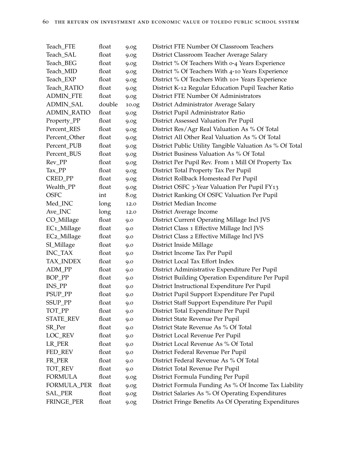| Teach_FTE                | float  | 9.0g  | District FTE Number Of Classroom Teachers                |
|--------------------------|--------|-------|----------------------------------------------------------|
| Teach_SAL                | float  | 9.0g  | District Classroom Teacher Average Salary                |
| Teach_BEG                | float  | 9.0g  | District % Of Teachers With 0-4 Years Experience         |
| Teach_MID                | float  | 9.0g  | District % Of Teachers With 4-10 Years Experience        |
| Teach_EXP                | float  | 9.0g  | District % Of Teachers With 10+ Years Experience         |
| Teach_RATIO              | float  | 9.0g  | District K-12 Regular Education Pupil Teacher Ratio      |
| <b>ADMIN_FTE</b>         | float  | 9.0g  | District FTE Number Of Administrators                    |
| <b>ADMIN_SAL</b>         | double | 10.0g | District Administrator Average Salary                    |
| <b>ADMIN_RATIO</b>       | float  | 9.0g  | District Pupil Administrator Ratio                       |
| Property_PP              | float  | 9.0g  | District Assessed Valuation Per Pupil                    |
| Percent_RES              | float  | 9.0g  | District Res/Agr Real Valuation As % Of Total            |
| Percent_Other            | float  | 9.0g  | District All Other Real Valuation As % Of Total          |
| Percent_PUB              | float  | 9.0g  | District Public Utility Tangible Valuation As % Of Total |
| Percent_BUS              | float  | 9.0g  | District Business Valuation As % Of Total                |
| Rev_PP                   | float  | 9.0g  | District Per Pupil Rev. From 1 Mill Of Property Tax      |
| Tax_PP                   | float  | 9.0g  | District Total Property Tax Per Pupil                    |
| CRED_PP                  | float  | 9.0g  | District Rollback Homestead Per Pupil                    |
| Wealth_PP                | float  | 9.0g  | District OSFC 3-Year Valuation Per Pupil FY13            |
| <b>OSFC</b>              | int    | 8.0g  | District Ranking Of OSFC Valuation Per Pupil             |
| Med_INC                  | long   | 12.0  | District Median Income                                   |
| Ave_INC                  | long   | 12.0  | District Average Income                                  |
| CO_Millage               | float  | 9.0   | District Current Operating Millage Incl JVS              |
| EC <sub>1_</sub> Millage | float  | 9.0   | District Class 1 Effective Millage Incl JVS              |
| EC2_Millage              | float  | 9.0   | District Class 2 Effective Millage Incl JVS              |
| SI_Millage               | float  | 9.0   | District Inside Millage                                  |
| INC_TAX                  | float  | 9.0   | District Income Tax Per Pupil                            |
| TAX_INDEX                | float  | 9.0   | District Local Tax Effort Index                          |
| ADM_PP                   | float  | 9.0   | District Administrative Expenditure Per Pupil            |
| BOP_PP                   | float  | 9.0   | District Building Operation Expenditure Per Pupil        |
| INS_PP                   | float  | 9.0   | District Instructional Expenditure Per Pupil             |
| PSUP_PP                  | float  | 9.0   | District Pupil Support Expenditure Per Pupil             |
| SSUP_PP                  | float  | 9.0   | District Staff Support Expenditure Per Pupil             |
| TOT_PP                   | float  | 9.0   | District Total Expenditure Per Pupil                     |
| STATE_REV                | float  | 9.0   | District State Revenue Per Pupil                         |
| SR_Per                   | float  | 9.0   | District State Revenue As % Of Total                     |
| LOC_REV                  | float  | 9.0   | District Local Revenue Per Pupil                         |
| LR_PER                   | float  | 9.0   | District Local Revenue As % Of Total                     |
| FED_REV                  | float  | 9.0   | District Federal Revenue Per Pupil                       |
| FR_PER                   | float  | 9.0   | District Federal Revenue As % Of Total                   |
| TOT_REV                  | float  | 9.0   | District Total Revenue Per Pupil                         |
| <b>FORMULA</b>           | float  | 9.0g  | District Formula Funding Per Pupil                       |
| FORMULA_PER              | float  | 9.0g  | District Formula Funding As % Of Income Tax Liability    |
| <b>SAL_PER</b>           | float  | 9.0g  | District Salaries As % Of Operating Expenditures         |
| FRINGE_PER               | float  | 9.0g  | District Fringe Benefits As Of Operating Expenditures    |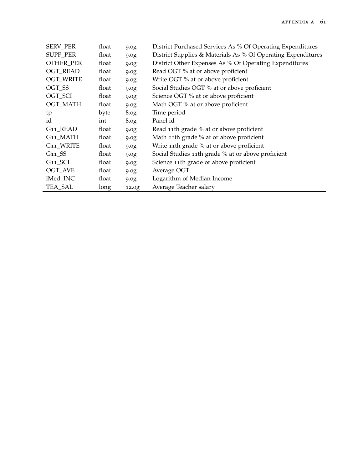| <b>SERV_PER</b>       | float | 9.0 <sub>g</sub> | District Purchased Services As % Of Operating Expenditures   |
|-----------------------|-------|------------------|--------------------------------------------------------------|
| SUPP_PER              | float | 9.0 <sub>g</sub> | District Supplies & Materials As % Of Operating Expenditures |
| <b>OTHER_PER</b>      | float | 9.0g             | District Other Expenses As % Of Operating Expenditures       |
| <b>OGT_READ</b>       | float | 9.0g             | Read OGT % at or above proficient                            |
| <b>OGT_WRITE</b>      | float | 9.0g             | Write OGT % at or above proficient                           |
| OGT SS                | float | 9.0 <sub>g</sub> | Social Studies OGT % at or above proficient                  |
| OGT_SCI               | float | 9.0 <sub>g</sub> | Science OGT % at or above proficient                         |
| <b>OGT_MATH</b>       | float | 9.0 <sub>g</sub> | Math OGT % at or above proficient                            |
| tp                    | byte  | 8.0 <sub>g</sub> | Time period                                                  |
| id                    | int   | 8.0 <sub>g</sub> | Panel id                                                     |
| G <sub>11</sub> _READ | float | 9.0 <sub>g</sub> | Read 11th grade % at or above proficient                     |
| G11_MATH              | float | 9.0g             | Math 11th grade % at or above proficient                     |
| G <sub>11_WRITE</sub> | float | 9.0g             | Write 11th grade % at or above proficient                    |
| $G11$ <sub>SS</sub>   | float | 9.0g             | Social Studies 11th grade % at or above proficient           |
| $G11\_SCI$            | float | 9.0 <sub>g</sub> | Science 11th grade or above proficient                       |
| OGT_AVE               | float | 9.0g             | Average OGT                                                  |
| lMed_INC              | float | 9.0 <sub>g</sub> | Logarithm of Median Income                                   |
| TEA_SAL               | long  | 12.0g            | Average Teacher salary                                       |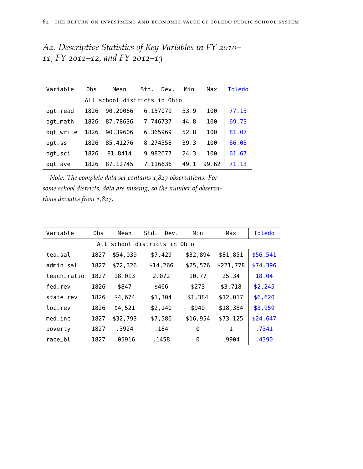| A2. Descriptive Statistics of Key Variables in FY 2010– |  |  |  |
|---------------------------------------------------------|--|--|--|
| 11, FY 2011–12, and FY 2012–13                          |  |  |  |

| Variable                     | 0bs  | Mean     | Std.<br>Dev. | Min  | Max   | Toledo |  |  |
|------------------------------|------|----------|--------------|------|-------|--------|--|--|
| All school districts in Ohio |      |          |              |      |       |        |  |  |
| $ogt_{r}$ read               | 1826 | 90.20066 | 6.157079     | 53.9 | 100   | 77.13  |  |  |
| ogt_math                     | 1826 | 87.78636 | 7.746737     | 44.8 | 100   | 69.73  |  |  |
| ogt_write                    | 1826 | 90.39606 | 6.365969     | 52.8 | 100   | 81.07  |  |  |
| $ogt\_ss$                    | 1826 | 85.41276 | 8.274558     | 39.3 | 100   | 66.03  |  |  |
| $ogt\_sci$                   | 1826 | 81.8414  | 9.982677     | 24.3 | 100   | 61.67  |  |  |
| ogt_ave                      | 1826 | 87.12745 | 7.116636     | 49.1 | 99.62 | 71.13  |  |  |

*Note: The complete data set contains 1,827 observations. For some school districts, data are missing, so the number of observations deviates from 1,827.*

| Variable                     | 0bs  | Mean     | Std.<br>Dev. | Min      | Max       | Toledo   |  |  |
|------------------------------|------|----------|--------------|----------|-----------|----------|--|--|
| All school districts in Ohio |      |          |              |          |           |          |  |  |
| tea sal                      | 1827 | \$54,039 | \$7,429      | \$32,894 | \$81,851  | \$56,541 |  |  |
| admin sal                    | 1827 | \$72,326 | \$14,266     | \$25,576 | \$221,778 | \$74,396 |  |  |
| teach ratio                  | 1827 | 18.013   | 2.072        | 10.77    | 25.34     | 18.04    |  |  |
| fed rev                      | 1826 | \$847    | \$466        | \$273    | \$3,718   | \$2,245  |  |  |
| state_rev                    | 1826 | \$4,674  | \$1,304      | \$1,384  | \$12,017  | \$6,620  |  |  |
| loc rev                      | 1826 | \$4,521  | \$2,140      | \$940    | \$18,384  | \$3,959  |  |  |
| med inc                      | 1827 | \$32,793 | \$7,586      | \$16,954 | \$73,125  | \$24,647 |  |  |
| poverty                      | 1827 | .3924    | . 184        | 0        | 1         | .7341    |  |  |
| race bl                      | 1827 | .05916   | . 1458       | 0        | .9904     | .4390    |  |  |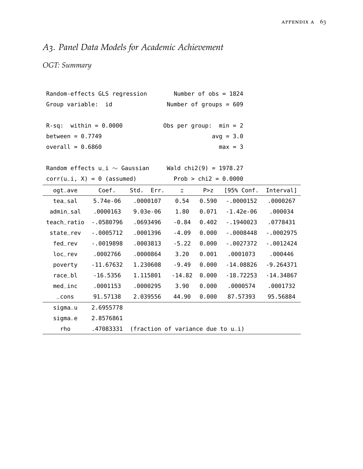## *A3. Panel Data Models for Academic Achievement*

### *OGT: Summary*

| Random-effects GLS regression | Number of $obs = 1824$   |
|-------------------------------|--------------------------|
| Group variable: id            | Number of groups = $609$ |
| $R-sq:$ within = 0.0000       | Obs per group: $min = 2$ |
| between = $0.7749$            | $avg = 3.0$              |
| overall = $0.6860$            | $max = 3$                |

Random effects u\_i  $\sim$  Gaussian Wald chi2(9) = 1978.27

 $corr(u_i, X) = 0$  (assumed) Prob > chi2 = 0.0000

| ogt_ave     | Coef.       | Std.<br>Err.                         | $\mathcal{Z}$ | P > Z | [95% Conf.  | Interval]   |
|-------------|-------------|--------------------------------------|---------------|-------|-------------|-------------|
| tea_sal     | 5.74e-06    | .0000107                             | 0.54          | 0.590 | $-0000152$  | .0000267    |
| admin sal   | .0000163    | $9.03e-06$                           | 1.80          | 0.071 | $-1.42e-06$ | .000034     |
| teach_ratio | $-0580796$  | .0693496                             | $-0.84$       | 0.402 | $-1940023$  | .0778431    |
| state_rev   | $-0005712$  | .0001396                             | $-4.09$       | 0.000 | $-0008448$  | $-0002975$  |
| fed rev     | $-0019898$  | .0003813                             | $-5.22$       | 0.000 | $-.0027372$ | $-0012424$  |
| loc rev     | .0002766    | .0000864                             | 3.20          | 0.001 | .0001073    | .000446     |
| poverty     | $-11.67632$ | 1.230608                             | $-9.49$       | 0.000 | $-14.08826$ | $-9.264371$ |
| race_bl     | $-16.5356$  | 1.115801                             | $-14.82$      | 0.000 | $-18.72253$ | - 14 .34867 |
| $med$ _inc  | .0001153    | .0000295                             | 3.90          | 0.000 | .0000574    | .0001732    |
| $\_cons$    | 91.57138    | 2.039556                             | 44.90         | 0.000 | 87.57393    | 95.56884    |
| $sigma_u$   | 2.6955778   |                                      |               |       |             |             |
| $sigma_e$   | 2.8576861   |                                      |               |       |             |             |
| rho         | .47083331   | (fraction of variance due to $u_i$ ) |               |       |             |             |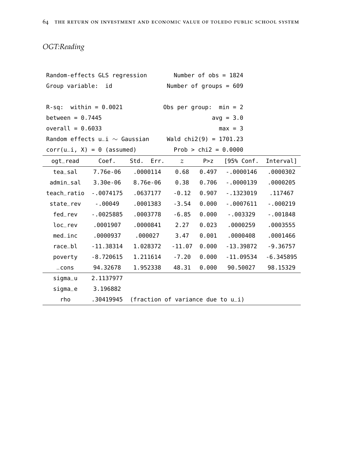## *OGT:Reading*

| Random-effects GLS regression<br>Number of $obs = 1824$ |             |                                                           |                          |       |              |             |
|---------------------------------------------------------|-------------|-----------------------------------------------------------|--------------------------|-------|--------------|-------------|
| Group variable: id                                      |             |                                                           | Number of groups = $609$ |       |              |             |
|                                                         |             |                                                           |                          |       |              |             |
| $R-sq:$ within = 0.0021<br>Obs per group: $min = 2$     |             |                                                           |                          |       |              |             |
| between = $0.7445$                                      |             |                                                           |                          |       | $avg = 3.0$  |             |
| overall = $0.6033$                                      |             |                                                           |                          |       | $max = 3$    |             |
|                                                         |             | Random effects $u_i \sim$ Gaussian Wald chi2(9) = 1701.23 |                          |       |              |             |
| Prob > $chi2 = 0.0000$<br>$corr(u_i, X) = 0$ (assumed)  |             |                                                           |                          |       |              |             |
| ogt_read                                                | Coef.       | Std. Err.                                                 | $\mathcal{Z}$            | P > Z | [95% Conf.   | Interval]   |
| tea_sal                                                 | 7.76e-06    | .0000114                                                  | 0.68                     | 0.497 | $-0000146$   | .0000302    |
| admin_sal                                               | $3.30e-06$  | 8.76e-06                                                  | 0.38                     | 0.706 | $-0000139$   | .0000205    |
| teach_ratio                                             | $-0074175$  | .0637177                                                  | $-0.12$                  | 0.907 | $-1323019$   | .117467     |
| state_rev                                               | $-00049$    | .0001383                                                  | $-3.54$                  | 0.000 | $-0007611$   | $-000219$   |
| fed_rev                                                 | $-0025885$  | .0003778                                                  | $-6.85$                  | 0.000 | $-003329$    | $-001848$   |
| loc_rev                                                 | .0001907    | .0000841                                                  | 2.27                     | 0.023 | .0000259     | .0003555    |
| $med\_inc$                                              | .0000937    | .000027                                                   | 3.47                     | 0.001 | .0000408     | .0001466    |
| race_bl                                                 | $-11.38314$ | 1.028372                                                  | $-11.07$                 | 0.000 | - 13 . 39872 | $-9.36757$  |
| poverty                                                 | $-8.720615$ | 1.211614                                                  | $-7.20$                  | 0.000 | $-11.09534$  | $-6.345895$ |
| $\_cons$                                                | 94.32678    | 1.952338                                                  | 48.31                    | 0.000 | 90.50027     | 98.15329    |
| sigma_u                                                 | 2.1137977   |                                                           |                          |       |              |             |
| sigma_e                                                 | 3.196882    |                                                           |                          |       |              |             |
| rho                                                     | .30419945   | (fraction of variance due to $u_i$ )                      |                          |       |              |             |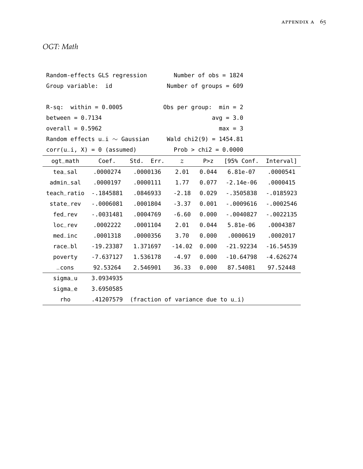*OGT: Math*

| Random-effects GLS regression                             |              |                                      | Number of $obs = 1824$   |                        |              |             |  |  |
|-----------------------------------------------------------|--------------|--------------------------------------|--------------------------|------------------------|--------------|-------------|--|--|
| Group variable: id                                        |              |                                      | Number of groups = $609$ |                        |              |             |  |  |
|                                                           |              |                                      |                          |                        |              |             |  |  |
| $R-sq:$ within = 0.0005                                   |              |                                      | Obs per group: $min = 2$ |                        |              |             |  |  |
| between = $0.7134$                                        |              |                                      |                          |                        | $avg = 3.0$  |             |  |  |
| overall = $0.5962$                                        |              |                                      |                          |                        | $max = 3$    |             |  |  |
| Random effects $u_i \sim$ Gaussian Wald chi2(9) = 1454.81 |              |                                      |                          |                        |              |             |  |  |
| $corr(u_i, X) = 0$ (assumed)                              |              |                                      |                          | Prob > $chi2 = 0.0000$ |              |             |  |  |
| ogt_math                                                  | Coef.        | Std. Err.                            | $\mathcal{Z}$            | P > Z                  | [95% Conf.   | Interval]   |  |  |
| tea_sal                                                   | .0000274     | .0000136                             | 2.01                     | 0.044                  | 6.81e-07     | .0000541    |  |  |
| admin_sal                                                 | .0000197     | .0000111                             | 1.77                     | 0.077                  | -2.14e-06    | .0000415    |  |  |
| teach_ratio                                               | - 1845881    | .0846933                             | $-2.18$                  | 0.029                  | $-0.3505838$ | $-0.185923$ |  |  |
| state_rev                                                 | $-0006081$   | .0001804                             | $-3.37$                  | 0.001                  | $-0009616$   | $-0002546$  |  |  |
| fed_rev                                                   | $-0031481$   | .0004769                             | $-6.60$                  | 0.000                  | $-0040827$   | $-0022135$  |  |  |
| loc_rev                                                   | .0002222     | .0001104                             | 2.01                     | 0.044                  | $5.81e-06$   | .0004387    |  |  |
| $med\_inc$                                                | .0001318     | .0000356                             | 3.70                     | 0.000                  | .0000619     | .0002017    |  |  |
| race_bl                                                   | - 19 . 23387 | 1.371697                             | $-14.02$                 | 0.000                  | $-21.92234$  | $-16.54539$ |  |  |
| poverty                                                   | $-7.637127$  | 1.536178                             | $-4.97$                  | 0.000                  | $-10.64798$  | $-4.626274$ |  |  |
| $\_cons$                                                  | 92.53264     | 2.546901                             | 36.33                    | 0.000                  | 87.54081     | 97.52448    |  |  |
| signal                                                    | 3.0934935    |                                      |                          |                        |              |             |  |  |
| sigma_e                                                   | 3.6950585    |                                      |                          |                        |              |             |  |  |
| rho                                                       | .41207579    | (fraction of variance due to $u_i$ ) |                          |                        |              |             |  |  |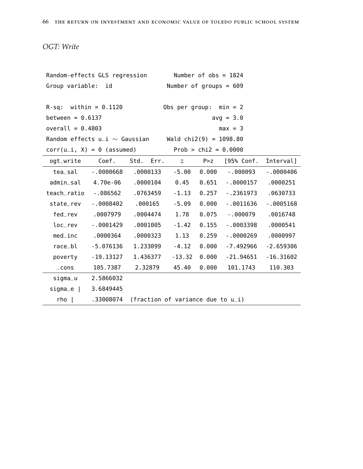### *OGT: Write*

| Random-effects GLS regression                             |             |                                      | Number of $obs = 1824$   |                        |             |             |  |
|-----------------------------------------------------------|-------------|--------------------------------------|--------------------------|------------------------|-------------|-------------|--|
| Group variable:<br>id                                     |             |                                      | Number of groups = $609$ |                        |             |             |  |
|                                                           |             |                                      |                          |                        |             |             |  |
| $R-sq$ : within = 0.1120                                  |             |                                      | Obs per group: $min = 2$ |                        |             |             |  |
| between = $0.6137$                                        |             |                                      |                          |                        | $avg = 3.0$ |             |  |
| overall = $0.4803$                                        |             |                                      |                          |                        | $max = 3$   |             |  |
| Random effects $u_i \sim$ Gaussian Wald chi2(9) = 1098.80 |             |                                      |                          |                        |             |             |  |
| $corr(u_i, X) = 0$ (assumed)                              |             |                                      |                          | Prob > $chi2 = 0.0000$ |             |             |  |
| ogt_write Coef.                                           |             | Std. Err.                            | $\overline{z}$           | P > Z                  | [95% Conf.  | Interval]   |  |
| tea_sal                                                   | $-0000668$  | .0000133                             | $-5.00$                  | 0.000                  | $-000093$   | $-0000406$  |  |
| admin_sal 4.70e-06                                        |             | .0000104                             | 0.45                     | 0.651                  | $-0000157$  | .0000251    |  |
| teach_ratio                                               | $-086562$   | .0763459                             | $-1.13$                  | 0.257                  | -.2361973   | .0630733    |  |
| state_rev                                                 | $-.0008402$ | .000165                              | $-5.09$                  | 0.000                  | $-0011636$  | $-0005168$  |  |
| fed_rev                                                   | .0007979    | .0004474                             | 1.78                     | 0.075                  | $-000079$   | .0016748    |  |
| loc_rev                                                   | $-0001429$  | .0001005                             | $-1.42$                  | 0.155                  | $-0003398$  | .0000541    |  |
| $med\_inc$                                                | .0000364    | .0000323                             | 1.13                     | 0.259                  | $-0000269$  | .0000997    |  |
| race_bl                                                   | $-5.076136$ | 1.233099                             | $-4.12$                  | 0.000                  | $-7.492966$ | $-2.659306$ |  |
| poverty                                                   | $-19.13127$ | 1.436377                             | $-13.32$                 | 0.000                  | $-21.94651$ | $-16.31602$ |  |
| $\_cons$                                                  | 105.7387    | 2.32879                              | 45.40                    | 0.000                  | 101.1743    | 110.303     |  |
| sigma_u                                                   | 2.5866032   |                                      |                          |                        |             |             |  |
| $sigma_e$                                                 | 3.6849445   |                                      |                          |                        |             |             |  |
| $rho$                                                     | .33008074   | (fraction of variance due to $u_i$ ) |                          |                        |             |             |  |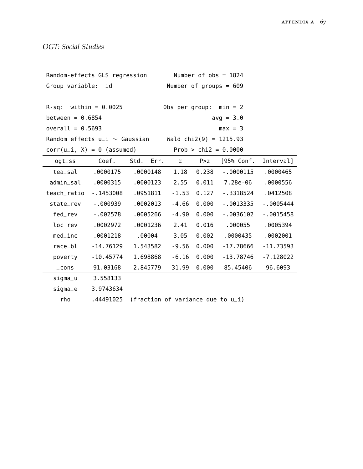| Random-effects GLS regression                             |             |                                      | Number of $obs = 1824$   |       |                          |             |  |
|-----------------------------------------------------------|-------------|--------------------------------------|--------------------------|-------|--------------------------|-------------|--|
| Group variable: id                                        |             |                                      | Number of groups = $609$ |       |                          |             |  |
|                                                           |             |                                      |                          |       |                          |             |  |
| $R-sq:$ within = 0.0025                                   |             |                                      |                          |       | Obs per group: $min = 2$ |             |  |
| between = $0.6854$                                        |             |                                      |                          |       | $avg = 3.0$              |             |  |
| overall = $0.5693$                                        |             |                                      |                          |       | $max = 3$                |             |  |
| Random effects $u_i \sim$ Gaussian Wald chi2(9) = 1215.93 |             |                                      |                          |       |                          |             |  |
| $corr(u_i, X) = 0$ (assumed)                              |             |                                      |                          |       | $Prob > chi2 = 0.0000$   |             |  |
| $ogt\_ss$                                                 |             | Coef. Std. Err.                      | $\mathcal{Z}$            | P > z | [95% Conf.               | Interval]   |  |
| tea_sal                                                   | .0000175    | .0000148                             | 1.18                     | 0.238 | $-0000115$               | .0000465    |  |
| admin_sal                                                 | .0000315    | .0000123                             | 2.55                     |       | $0.011$ 7.28e-06         | .0000556    |  |
| teach_ratio                                               | $-1453008$  | .0951811                             | $-1.53$                  | 0.127 | - .3318524               | .0412508    |  |
| state_rev                                                 | $-000939$   | .0002013                             | $-4.66$                  | 0.000 | $-0013335$               | $-0005444$  |  |
| fed_rev                                                   | $-002578$   | .0005266                             | $-4.90$                  | 0.000 | $-0036102$               | $-0015458$  |  |
| loc_rev                                                   | .0002972    | .0001236                             | 2.41                     | 0.016 | .000055                  | .0005394    |  |
| $med\_inc$                                                | .0001218    | .00004                               | 3.05                     | 0.002 | .0000435                 | .0002001    |  |
| race_bl                                                   | $-14.76129$ | 1.543582                             | $-9.56$                  | 0.000 | $-17.78666$              | $-11.73593$ |  |
| poverty                                                   | $-10.45774$ | 1.698868                             | $-6.16$                  | 0.000 | $-13.78746$              | $-7.128022$ |  |
| $\_cons$                                                  | 91.03168    | 2.845779                             | 31.99                    | 0.000 | 85.45406                 | 96.6093     |  |
| sigma_u                                                   | 3.558133    |                                      |                          |       |                          |             |  |
| sigma_e                                                   | 3.9743634   |                                      |                          |       |                          |             |  |
| rho                                                       | .44491025   | (fraction of variance due to $u_i$ ) |                          |       |                          |             |  |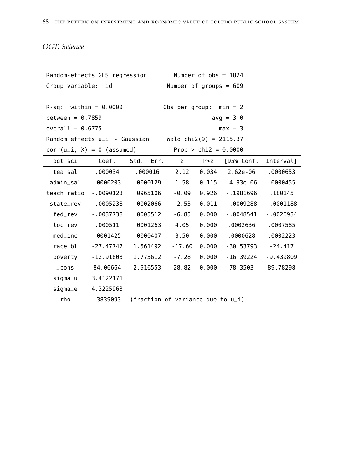*OGT: Science*

| Random-effects GLS regression                             |              |                                      | Number of $obs = 1824$   |       |                      |             |  |
|-----------------------------------------------------------|--------------|--------------------------------------|--------------------------|-------|----------------------|-------------|--|
| Group variable: id                                        |              |                                      | Number of groups = $609$ |       |                      |             |  |
|                                                           |              |                                      |                          |       |                      |             |  |
| $R-sq:$ within = 0.0000                                   |              |                                      | Obs per group: $min = 2$ |       |                      |             |  |
| between = $0.7859$                                        |              |                                      |                          |       | $avg = 3.0$          |             |  |
| $overall = 0.6775$                                        |              |                                      |                          |       | $max = 3$            |             |  |
| Random effects $u_i \sim$ Gaussian Wald chi2(9) = 2115.37 |              |                                      |                          |       |                      |             |  |
| $corr(u_i, X) = 0$ (assumed)                              |              |                                      | Prob > $chi2 = 0.0000$   |       |                      |             |  |
| ogt_sci                                                   | Coef.        | Std. Err. $z$                        |                          | P > Z | [95% Conf.           | Interval]   |  |
| tea_sal                                                   | .000034      | .000016                              | 2.12                     |       | $0.034$ 2.62e-06     | .0000653    |  |
| admin_sal                                                 | .0000203     | .0000129                             | 1.58                     |       | $0.115 - 4.93e-06$   | .0000455    |  |
| teach_ratio                                               | $-0090123$   | .0965106                             | $-0.09$                  | 0.926 | $-1981696$           | .180145     |  |
| state_rev                                                 | $-0005238$   | .0002066                             | $-2.53$                  | 0.011 | $-0009288$           | $-0001188$  |  |
| fed_rev                                                   | $-0037738$   | .0005512                             | $-6.85$                  | 0.000 | $-0048541$           | $-0026934$  |  |
| loc_rev                                                   | .000511      | .0001263                             | 4.05                     | 0.000 | .0002636             | .0007585    |  |
| $med\_inc$                                                | .0001425     | .0000407                             | 3.50                     | 0.000 | .0000628             | .0002223    |  |
| race_bl                                                   | - 27 . 47747 | 1.561492                             | $-17.60$                 | 0.000 | $-30.53793 - 24.417$ |             |  |
| poverty                                                   | $-12.91603$  | 1.773612                             | $-7.28$                  | 0.000 | $-16.39224$          | $-9.439809$ |  |
| $\_cons$                                                  | 84.06664     | 2.916553                             | 28.82                    | 0.000 | 78.3503              | 89.78298    |  |
| sigma_u                                                   | 3.4122171    |                                      |                          |       |                      |             |  |
| sigma_e                                                   | 4.3225963    |                                      |                          |       |                      |             |  |
| rho                                                       | .3839093     | (fraction of variance due to $u_i$ ) |                          |       |                      |             |  |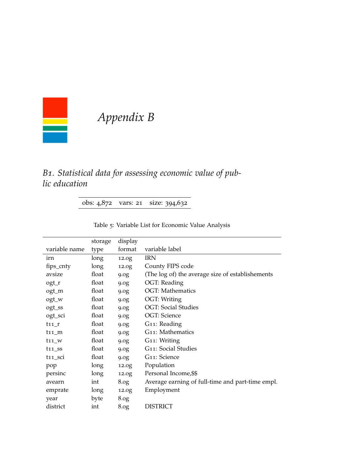

# *Appendix B*

### *B1. Statistical data for assessing economic value of public education*

obs: 4,872 vars: 21 size: 394,632

|  | Table 5: Variable List for Economic Value Analysis |  |
|--|----------------------------------------------------|--|
|  |                                                    |  |

|                     | storage | display          |                                                  |
|---------------------|---------|------------------|--------------------------------------------------|
| variable name       | type    | format           | variable label                                   |
| irn                 | long    | 12.0g            | <b>IRN</b>                                       |
| fips_cnty           | long    | 12.0g            | County FIPS code                                 |
| avsize              | float   | 9.0 <sub>g</sub> | (The log of) the average size of establishements |
| ogt_r               | float   | 9.0g             | OGT: Reading                                     |
| ogt_m               | float   | 9.0g             | <b>OGT: Mathematics</b>                          |
| ogt_w               | float   | 9.0g             | OGT: Writing                                     |
| ogt_ss              | float   | 9.0g             | <b>OGT: Social Studies</b>                       |
| ogt_sci             | float   | 9.0g             | OGT: Science                                     |
| $t11_r$             | float   | 9.0 <sub>g</sub> | G11: Reading                                     |
| $t11_m$             | float   | 9.0 <sub>g</sub> | G11: Mathematics                                 |
| $t11_W$             | float   | 9.0 <sub>g</sub> | G11: Writing                                     |
| $t11$ <sub>SS</sub> | float   | 9.0 <sub>g</sub> | G11: Social Studies                              |
| t11_sci             | float   | 9.0g             | G <sub>11</sub> : Science                        |
| pop                 | long    | 12.0g            | Population                                       |
| persinc             | long    | 12.0g            | Personal Income, \$\$                            |
| avearn              | int     | 8.0 <sub>g</sub> | Average earning of full-time and part-time empl. |
| emprate             | long    | 12.0g            | Employment                                       |
| year                | byte    | 8.0 <sub>g</sub> |                                                  |
| district            | int     | 8.0 <sub>g</sub> | <b>DISTRICT</b>                                  |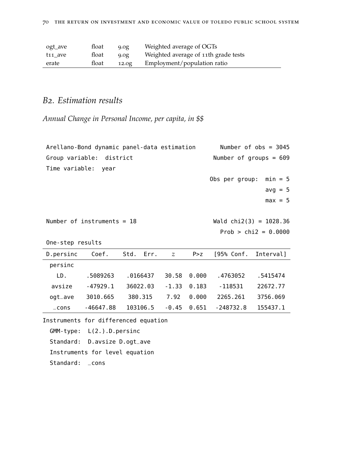| ogt_ave | float | 9.0g  | Weighted average of OGTs             |
|---------|-------|-------|--------------------------------------|
| t11 ave | float | 9.0g  | Weighted average of 11th grade tests |
| erate   | float | 12.0g | Employment/population ratio          |

### *B2. Estimation results*

*Annual Change in Personal Income, per capita, in \$\$*

|                                      | Arellano-Bond dynamic panel-data estimation |          |          |               |       |                          | Number of $obs = 3045$   |
|--------------------------------------|---------------------------------------------|----------|----------|---------------|-------|--------------------------|--------------------------|
|                                      | Group variable: district                    |          |          |               |       |                          | Number of groups = $609$ |
| Time variable:                       | year                                        |          |          |               |       |                          |                          |
|                                      |                                             |          |          |               |       | Obs per group:           | $min = 5$                |
|                                      |                                             |          |          |               |       |                          | $avg = 5$                |
|                                      |                                             |          |          |               |       |                          | $max = 5$                |
|                                      |                                             |          |          |               |       |                          |                          |
|                                      | Number of instruments $= 18$                |          |          |               |       | Wald $chi2(3) = 1028.36$ |                          |
|                                      |                                             |          |          |               |       |                          | Prob > $chi2 = 0.0000$   |
| One-step results                     |                                             |          |          |               |       |                          |                          |
| D.persinc                            | Coef.                                       | Std.     | Err.     | $\mathcal{Z}$ | P > Z | [95% Conf.               | Interval]                |
| persinc                              |                                             |          |          |               |       |                          |                          |
| LD.                                  | .5089263                                    | .0166437 |          | 30.58         | 0.000 | .4763052                 | .5415474                 |
| avsize                               | $-47929.1$                                  | 36022.03 |          | $-1.33$       | 0.183 | $-118531$                | 22672.77                 |
| ogt_ave                              | 3010.665                                    | 380.315  |          | 7.92          | 0.000 | 2265.261                 | 3756.069                 |
| $\_cons$                             | $-46647.88$                                 |          | 103106.5 | -0.45         | 0.651 | -248732.8                | 155437.1                 |
| Instruments for differenced equation |                                             |          |          |               |       |                          |                          |

GMM-type: L(2.).D.persinc

Standard: D.avsize D.ogt\_ave

Instruments for level equation

Standard: \_cons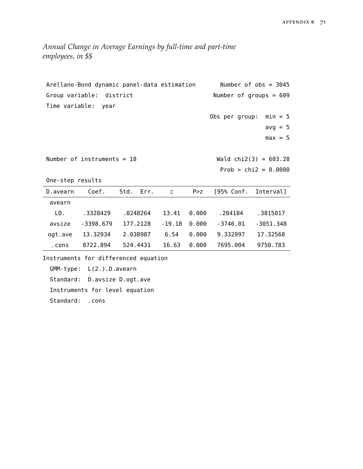*Annual Change in Average Earnings by full-time and part-time employees, in \$\$*

| Arellano-Bond dynamic panel-data estimation |                                      |      |          |                |       |                          | Number of $obs = 3045$   |
|---------------------------------------------|--------------------------------------|------|----------|----------------|-------|--------------------------|--------------------------|
|                                             | Group variable: district             |      |          |                |       |                          | Number of groups = $609$ |
|                                             | Time variable: year                  |      |          |                |       |                          |                          |
|                                             |                                      |      |          |                |       | Obs per group: $min = 5$ |                          |
|                                             |                                      |      |          |                |       |                          | $avg = 5$                |
|                                             |                                      |      |          |                |       |                          | $max = 5$                |
|                                             |                                      |      |          |                |       |                          |                          |
|                                             | Number of instruments = $18$         |      |          |                |       |                          | Wald $chi2(3) = 603.28$  |
|                                             |                                      |      |          |                |       |                          | Prob > $chi2 = 0.0000$   |
| One-step results                            |                                      |      |          |                |       |                          |                          |
| D.avearn                                    | Coef.                                | Std. | Err.     | $\mathcal{Z}$  | P > Z | [95% Conf. Interval]     |                          |
| avearn                                      |                                      |      |          |                |       |                          |                          |
| LD.                                         | .3328429                             |      |          | .0248264 13.41 | 0.000 | .284184                  | .3815017                 |
| avsize                                      | - 3398.679                           |      | 177.2128 | $-19.18$       | 0.000 | - 3746.01                | $-3051.348$              |
| ogt_ave                                     | 13.32934                             |      | 2.038987 | 6.54           | 0.000 | 9.332997                 | 17.32568                 |
| $\_cons$                                    | 8722.894                             |      | 524.4431 | 16.63          | 0.000 | 7695.004                 | 9750.783                 |
|                                             | Instruments for differenced equation |      |          |                |       |                          |                          |
|                                             | $GMM$ -type: $L(2.)$ . D. avearn     |      |          |                |       |                          |                          |

Standard: D.avsize D.ogt\_ave

Instruments for level equation

Standard: \_cons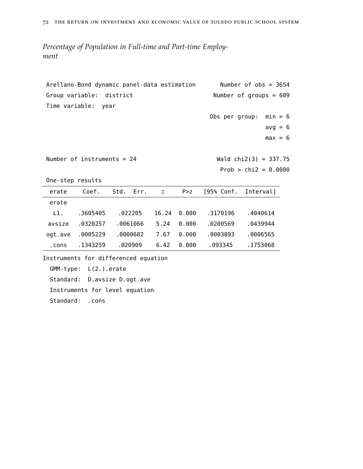*Percentage of Population in Full-time and Part-time Employment*

|                  | Arellano-Bond dynamic panel-data estimation |                                      | Number of $obs = 3654$   |       |                |                         |  |
|------------------|---------------------------------------------|--------------------------------------|--------------------------|-------|----------------|-------------------------|--|
|                  | Group variable: district                    |                                      | Number of groups = $609$ |       |                |                         |  |
| Time variable:   | year                                        |                                      |                          |       |                |                         |  |
|                  |                                             |                                      |                          |       | Obs per group: | $min = 6$               |  |
|                  |                                             |                                      |                          |       |                | $avg = 6$               |  |
|                  |                                             |                                      |                          |       |                | $max = 6$               |  |
|                  |                                             |                                      |                          |       |                |                         |  |
|                  | Number of instruments = $24$                |                                      |                          |       |                | Wald $chi2(3) = 337.75$ |  |
|                  |                                             |                                      |                          |       |                | Prob > $chi2 = 0.0000$  |  |
| One-step results |                                             |                                      |                          |       |                |                         |  |
| erate            | Coef.                                       | Std.<br>Err.                         | $\mathcal{Z}$            | P > z | [95% Conf.     | Interval]               |  |
| erate            |                                             |                                      |                          |       |                |                         |  |
| L1.              | .3605405                                    | .022205                              | 16.24                    | 0.000 | .3170196       | .4040614                |  |
| avsize           | .0320257                                    | .0061066                             | 5.24                     | 0.000 | .0200569       | .0439944                |  |
| ogt_ave          | .0005229                                    | .0000682                             | 7.67                     | 0.000 | .0003893       | .0006565                |  |
| $\_cons$         | .1343259                                    | .020909                              | 6.42                     | 0.000 | .093345        | .1753068                |  |
|                  |                                             | Instruments for differenced equation |                          |       |                |                         |  |
|                  | $GMM$ -type: $L(2.)$ . erate                |                                      |                          |       |                |                         |  |
| Standard:        |                                             | D.avsize D.ogt_ave                   |                          |       |                |                         |  |

Instruments for level equation

Standard: \_cons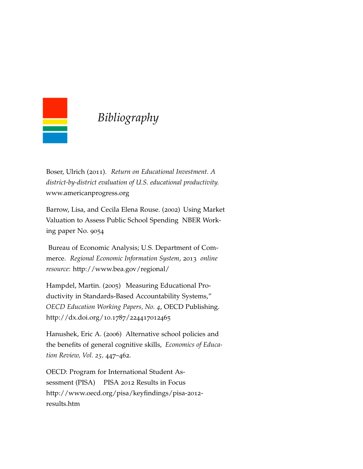

## *Bibliography*

Boser, Ulrich (2011). *Return on Educational Investment. A district-by-district evaluation of U.S. educational productivity.* www.americanprogress.org

Barrow, Lisa, and Cecila Elena Rouse. (2002) Using Market Valuation to Assess Public School Spending NBER Working paper No. 9054

Bureau of Economic Analysis; U.S. Department of Commerce. *Regional Economic Information System*, 2013 *online resource:* http://www.bea.gov/regional/

Hampdel, Martin. (2005) Measuring Educational Productivity in Standards-Based Accountability Systems," *OECD Education Working Papers, No. 4*, OECD Publishing. http://dx.doi.org/10.1787/224417012465

Hanushek, Eric A. (2006) Alternative school policies and the benefits of general cognitive skills, *Economics of Education Review, Vol. 25,* 447–462.

OECD: Program for International Student Assessment (PISA) PISA 2012 Results in Focus http://www.oecd.org/pisa/keyfindings/pisa-2012 results.htm